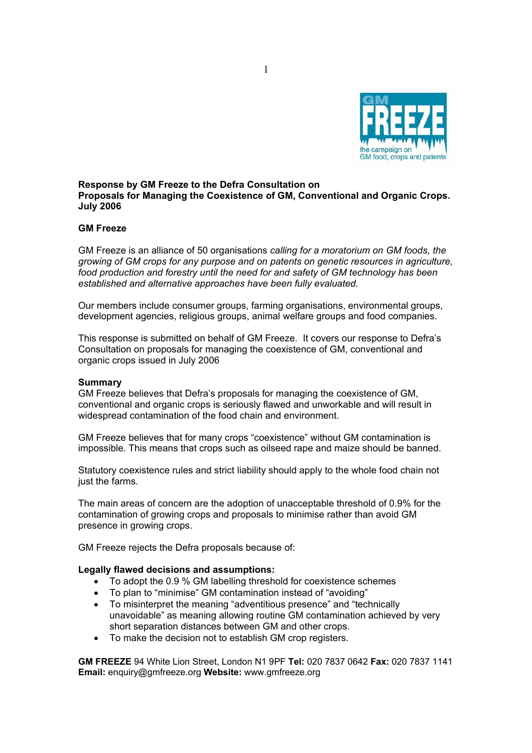

## **Response by GM Freeze to the Defra Consultation on Proposals for Managing the Coexistence of GM, Conventional and Organic Crops. July 2006**

## **GM Freeze**

GM Freeze is an alliance of 50 organisations *calling for a moratorium on GM foods, the growing of GM crops for any purpose and on patents on genetic resources in agriculture, food production and forestry until the need for and safety of GM technology has been established and alternative approaches have been fully evaluated.* 

Our members include consumer groups, farming organisations, environmental groups, development agencies, religious groups, animal welfare groups and food companies.

This response is submitted on behalf of GM Freeze. It covers our response to Defra's Consultation on proposals for managing the coexistence of GM, conventional and organic crops issued in July 2006

#### **Summary**

GM Freeze believes that Defra's proposals for managing the coexistence of GM, conventional and organic crops is seriously flawed and unworkable and will result in widespread contamination of the food chain and environment.

GM Freeze believes that for many crops "coexistence" without GM contamination is impossible. This means that crops such as oilseed rape and maize should be banned.

Statutory coexistence rules and strict liability should apply to the whole food chain not just the farms.

The main areas of concern are the adoption of unacceptable threshold of 0.9% for the contamination of growing crops and proposals to minimise rather than avoid GM presence in growing crops.

GM Freeze rejects the Defra proposals because of:

#### **Legally flawed decisions and assumptions:**

- To adopt the 0.9 % GM labelling threshold for coexistence schemes
- To plan to "minimise" GM contamination instead of "avoiding"
- To misinterpret the meaning "adventitious presence" and "technically unavoidable" as meaning allowing routine GM contamination achieved by very short separation distances between GM and other crops.
- To make the decision not to establish GM crop registers.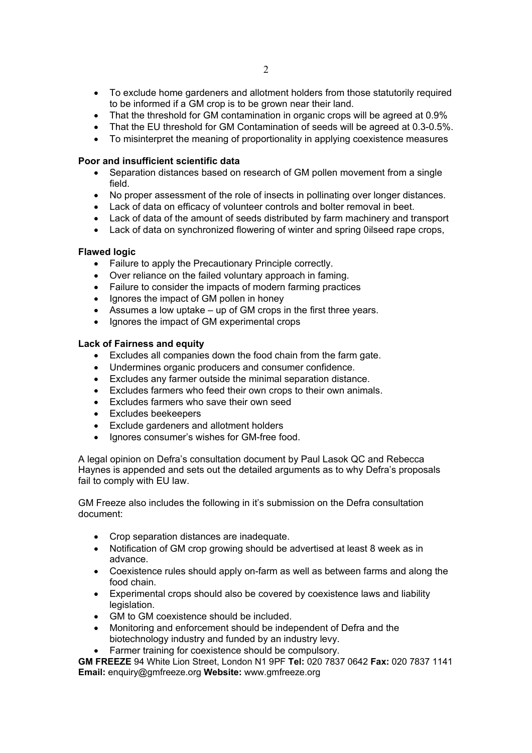- To exclude home gardeners and allotment holders from those statutorily required to be informed if a GM crop is to be grown near their land.
- That the threshold for GM contamination in organic crops will be agreed at 0.9%
- That the EU threshold for GM Contamination of seeds will be agreed at 0.3-0.5%.
- To misinterpret the meaning of proportionality in applying coexistence measures

## **Poor and insufficient scientific data**

- Separation distances based on research of GM pollen movement from a single field.
- No proper assessment of the role of insects in pollinating over longer distances.
- Lack of data on efficacy of volunteer controls and bolter removal in beet.
- Lack of data of the amount of seeds distributed by farm machinery and transport
- Lack of data on synchronized flowering of winter and spring 0ilseed rape crops,

### **Flawed logic**

- Failure to apply the Precautionary Principle correctly.
- Over reliance on the failed voluntary approach in faming.
- Failure to consider the impacts of modern farming practices
- Ignores the impact of GM pollen in honey
- Assumes a low uptake up of GM crops in the first three years.
- Ignores the impact of GM experimental crops

### **Lack of Fairness and equity**

- Excludes all companies down the food chain from the farm gate.
- Undermines organic producers and consumer confidence.
- Excludes any farmer outside the minimal separation distance.
- Excludes farmers who feed their own crops to their own animals.
- Excludes farmers who save their own seed
- Excludes beekeepers
- Exclude gardeners and allotment holders
- Ignores consumer's wishes for GM-free food.

A legal opinion on Defra's consultation document by Paul Lasok QC and Rebecca Haynes is appended and sets out the detailed arguments as to why Defra's proposals fail to comply with EU law.

GM Freeze also includes the following in it's submission on the Defra consultation document:

- Crop separation distances are inadequate.
- Notification of GM crop growing should be advertised at least 8 week as in advance.
- Coexistence rules should apply on-farm as well as between farms and along the food chain.
- Experimental crops should also be covered by coexistence laws and liability legislation.
- GM to GM coexistence should be included.
- Monitoring and enforcement should be independent of Defra and the biotechnology industry and funded by an industry levy.
- Farmer training for coexistence should be compulsory.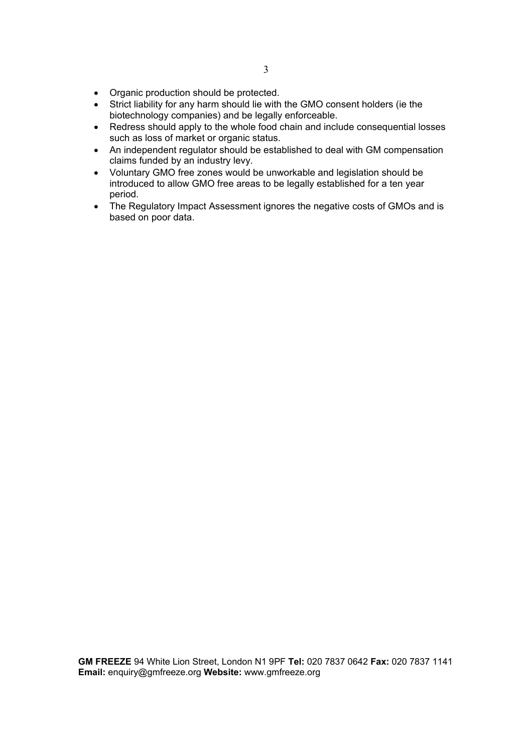- Organic production should be protected.
- Strict liability for any harm should lie with the GMO consent holders (ie the biotechnology companies) and be legally enforceable.
- Redress should apply to the whole food chain and include consequential losses such as loss of market or organic status.
- An independent regulator should be established to deal with GM compensation claims funded by an industry levy.
- Voluntary GMO free zones would be unworkable and legislation should be introduced to allow GMO free areas to be legally established for a ten year period.
- The Regulatory Impact Assessment ignores the negative costs of GMOs and is based on poor data.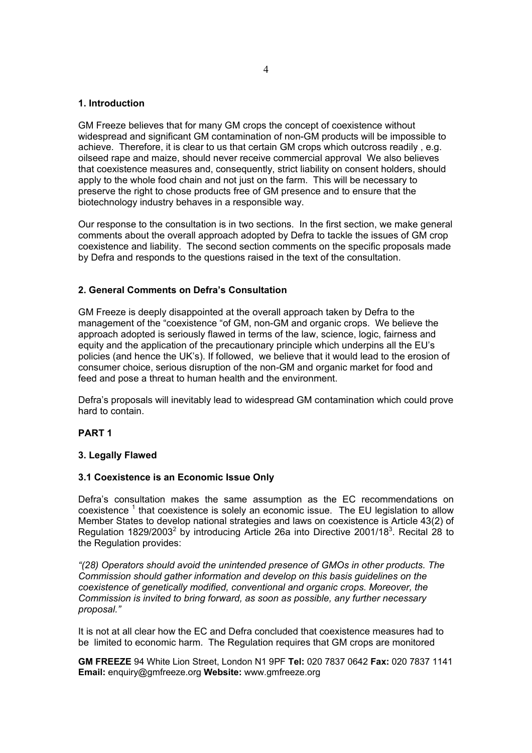## **1. Introduction**

GM Freeze believes that for many GM crops the concept of coexistence without widespread and significant GM contamination of non-GM products will be impossible to achieve. Therefore, it is clear to us that certain GM crops which outcross readily , e.g. oilseed rape and maize, should never receive commercial approval We also believes that coexistence measures and, consequently, strict liability on consent holders, should apply to the whole food chain and not just on the farm. This will be necessary to preserve the right to chose products free of GM presence and to ensure that the biotechnology industry behaves in a responsible way.

Our response to the consultation is in two sections. In the first section, we make general comments about the overall approach adopted by Defra to tackle the issues of GM crop coexistence and liability. The second section comments on the specific proposals made by Defra and responds to the questions raised in the text of the consultation.

### **2. General Comments on Defra's Consultation**

GM Freeze is deeply disappointed at the overall approach taken by Defra to the management of the "coexistence "of GM, non-GM and organic crops. We believe the approach adopted is seriously flawed in terms of the law, science, logic, fairness and equity and the application of the precautionary principle which underpins all the EU's policies (and hence the UK's). If followed, we believe that it would lead to the erosion of consumer choice, serious disruption of the non-GM and organic market for food and feed and pose a threat to human health and the environment.

Defra's proposals will inevitably lead to widespread GM contamination which could prove hard to contain.

#### **PART 1**

#### **3. Legally Flawed**

### **3.1 Coexistence is an Economic Issue Only**

Defra's consultation makes the same assumption as the EC recommendations on coexistence  $1$  that coexistence is solely an economic issue. The EU legislation to allow Member States to develop national strategies and laws on coexistence is Article 43(2) of Regulation 1829/2003<sup>2</sup> by introducing Article 26a into Directive 2001/18<sup>3</sup>. Recital 28 to the Regulation provides:

*"(28) Operators should avoid the unintended presence of GMOs in other products. The Commission should gather information and develop on this basis guidelines on the coexistence of genetically modified, conventional and organic crops. Moreover, the Commission is invited to bring forward, as soon as possible, any further necessary proposal."*

It is not at all clear how the EC and Defra concluded that coexistence measures had to be limited to economic harm. The Regulation requires that GM crops are monitored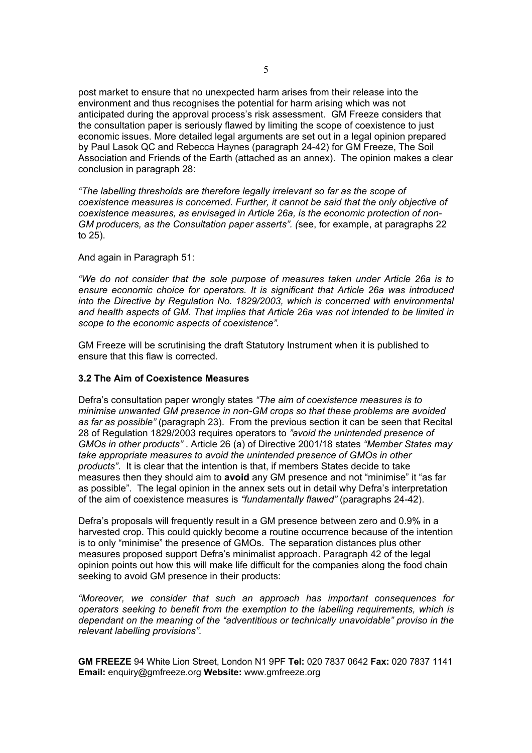post market to ensure that no unexpected harm arises from their release into the environment and thus recognises the potential for harm arising which was not anticipated during the approval process's risk assessment. GM Freeze considers that the consultation paper is seriously flawed by limiting the scope of coexistence to just economic issues. More detailed legal arguments are set out in a legal opinion prepared by Paul Lasok QC and Rebecca Haynes (paragraph 24-42) for GM Freeze, The Soil Association and Friends of the Earth (attached as an annex). The opinion makes a clear conclusion in paragraph 28:

*"The labelling thresholds are therefore legally irrelevant so far as the scope of coexistence measures is concerned. Further, it cannot be said that the only objective of coexistence measures, as envisaged in Article 26a, is the economic protection of non-GM producers, as the Consultation paper asserts". (*see, for example, at paragraphs 22 to 25).

### And again in Paragraph 51:

*"We do not consider that the sole purpose of measures taken under Article 26a is to ensure economic choice for operators. It is significant that Article 26a was introduced into the Directive by Regulation No. 1829/2003, which is concerned with environmental and health aspects of GM. That implies that Article 26a was not intended to be limited in scope to the economic aspects of coexistence".* 

GM Freeze will be scrutinising the draft Statutory Instrument when it is published to ensure that this flaw is corrected.

#### **3.2 The Aim of Coexistence Measures**

Defra's consultation paper wrongly states *"The aim of coexistence measures is to minimise unwanted GM presence in non-GM crops so that these problems are avoided as far as possible"* (paragraph 23). From the previous section it can be seen that Recital 28 of Regulation 1829/2003 requires operators to *"avoid the unintended presence of GMOs in other products"* . Article 26 (a) of Directive 2001/18 states *"Member States may take appropriate measures to avoid the unintended presence of GMOs in other products"*. It is clear that the intention is that, if members States decide to take measures then they should aim to **avoid** any GM presence and not "minimise" it "as far as possible". The legal opinion in the annex sets out in detail why Defra's interpretation of the aim of coexistence measures is *"fundamentally flawed"* (paragraphs 24-42).

Defra's proposals will frequently result in a GM presence between zero and 0.9% in a harvested crop. This could quickly become a routine occurrence because of the intention is to only "minimise" the presence of GMOs. The separation distances plus other measures proposed support Defra's minimalist approach. Paragraph 42 of the legal opinion points out how this will make life difficult for the companies along the food chain seeking to avoid GM presence in their products:

*"Moreover, we consider that such an approach has important consequences for operators seeking to benefit from the exemption to the labelling requirements, which is dependant on the meaning of the "adventitious or technically unavoidable" proviso in the relevant labelling provisions".*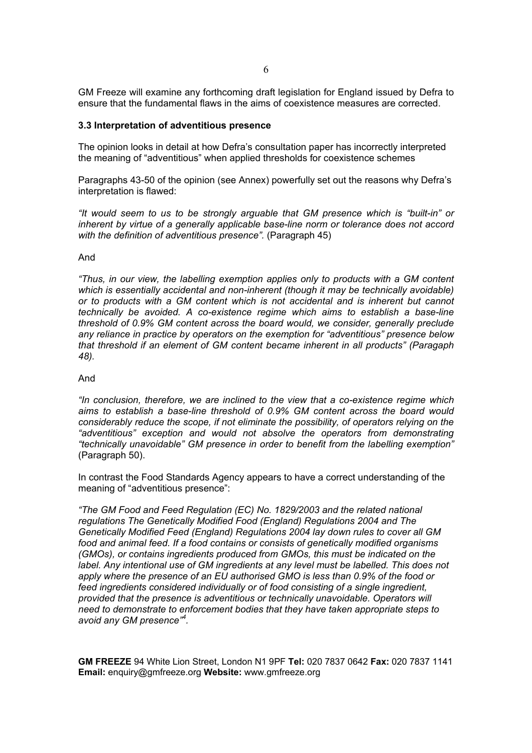GM Freeze will examine any forthcoming draft legislation for England issued by Defra to ensure that the fundamental flaws in the aims of coexistence measures are corrected.

#### **3.3 Interpretation of adventitious presence**

The opinion looks in detail at how Defra's consultation paper has incorrectly interpreted the meaning of "adventitious" when applied thresholds for coexistence schemes

Paragraphs 43-50 of the opinion (see Annex) powerfully set out the reasons why Defra's interpretation is flawed:

*"It would seem to us to be strongly arguable that GM presence which is "built-in" or inherent by virtue of a generally applicable base-line norm or tolerance does not accord*  with the definition of adventitious presence". (Paragraph 45)

#### And

*"Thus, in our view, the labelling exemption applies only to products with a GM content which is essentially accidental and non-inherent (though it may be technically avoidable) or to products with a GM content which is not accidental and is inherent but cannot technically be avoided. A co-existence regime which aims to establish a base-line threshold of 0.9% GM content across the board would, we consider, generally preclude any reliance in practice by operators on the exemption for "adventitious" presence below that threshold if an element of GM content became inherent in all products" (Paragaph 48).* 

## And

*"In conclusion, therefore, we are inclined to the view that a co-existence regime which aims to establish a base-line threshold of 0.9% GM content across the board would considerably reduce the scope, if not eliminate the possibility, of operators relying on the "adventitious" exception and would not absolve the operators from demonstrating "technically unavoidable" GM presence in order to benefit from the labelling exemption"*  (Paragraph 50).

In contrast the Food Standards Agency appears to have a correct understanding of the meaning of "adventitious presence":

*"The GM Food and Feed Regulation (EC) No. 1829/2003 and the related national regulations The Genetically Modified Food (England) Regulations 2004 and The Genetically Modified Feed (England) Regulations 2004 lay down rules to cover all GM food and animal feed. If a food contains or consists of genetically modified organisms (GMOs), or contains ingredients produced from GMOs, this must be indicated on the*  label. Any intentional use of GM ingredients at any level must be labelled. This does not *apply where the presence of an EU authorised GMO is less than 0.9% of the food or feed ingredients considered individually or of food consisting of a single ingredient, provided that the presence is adventitious or technically unavoidable. Operators will need to demonstrate to enforcement bodies that they have taken appropriate steps to avoid any GM presence"<sup>4</sup> .*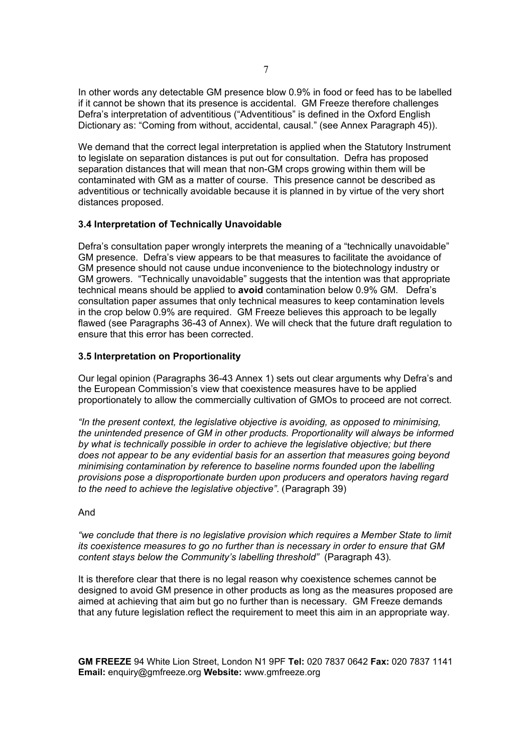In other words any detectable GM presence blow 0.9% in food or feed has to be labelled if it cannot be shown that its presence is accidental. GM Freeze therefore challenges Defra's interpretation of adventitious ("Adventitious" is defined in the Oxford English Dictionary as: "Coming from without, accidental, causal." (see Annex Paragraph 45)).

We demand that the correct legal interpretation is applied when the Statutory Instrument to legislate on separation distances is put out for consultation. Defra has proposed separation distances that will mean that non-GM crops growing within them will be contaminated with GM as a matter of course. This presence cannot be described as adventitious or technically avoidable because it is planned in by virtue of the very short distances proposed.

## **3.4 Interpretation of Technically Unavoidable**

Defra's consultation paper wrongly interprets the meaning of a "technically unavoidable" GM presence. Defra's view appears to be that measures to facilitate the avoidance of GM presence should not cause undue inconvenience to the biotechnology industry or GM growers. "Technically unavoidable" suggests that the intention was that appropriate technical means should be applied to **avoid** contamination below 0.9% GM. Defra's consultation paper assumes that only technical measures to keep contamination levels in the crop below 0.9% are required. GM Freeze believes this approach to be legally flawed (see Paragraphs 36-43 of Annex). We will check that the future draft regulation to ensure that this error has been corrected.

## **3.5 Interpretation on Proportionality**

Our legal opinion (Paragraphs 36-43 Annex 1) sets out clear arguments why Defra's and the European Commission's view that coexistence measures have to be applied proportionately to allow the commercially cultivation of GMOs to proceed are not correct.

*"In the present context, the legislative objective is avoiding, as opposed to minimising, the unintended presence of GM in other products. Proportionality will always be informed by what is technically possible in order to achieve the legislative objective; but there does not appear to be any evidential basis for an assertion that measures going beyond minimising contamination by reference to baseline norms founded upon the labelling provisions pose a disproportionate burden upon producers and operators having regard to the need to achieve the legislative objective"*. (Paragraph 39)

## And

*"we conclude that there is no legislative provision which requires a Member State to limit its coexistence measures to go no further than is necessary in order to ensure that GM content stays below the Community's labelling threshold"* (Paragraph 43)*.* 

It is therefore clear that there is no legal reason why coexistence schemes cannot be designed to avoid GM presence in other products as long as the measures proposed are aimed at achieving that aim but go no further than is necessary. GM Freeze demands that any future legislation reflect the requirement to meet this aim in an appropriate way.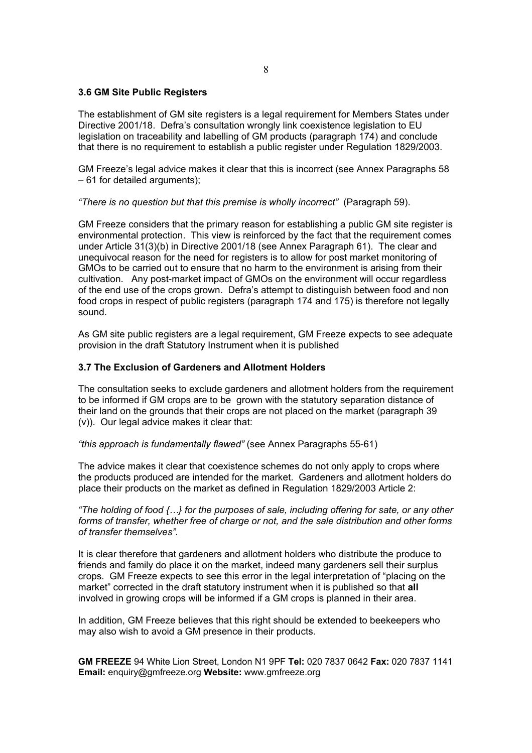### **3.6 GM Site Public Registers**

The establishment of GM site registers is a legal requirement for Members States under Directive 2001/18. Defra's consultation wrongly link coexistence legislation to EU legislation on traceability and labelling of GM products (paragraph 174) and conclude that there is no requirement to establish a public register under Regulation 1829/2003.

GM Freeze's legal advice makes it clear that this is incorrect (see Annex Paragraphs 58 – 61 for detailed arguments);

### *"There is no question but that this premise is wholly incorrect"* (Paragraph 59).

GM Freeze considers that the primary reason for establishing a public GM site register is environmental protection. This view is reinforced by the fact that the requirement comes under Article 31(3)(b) in Directive 2001/18 (see Annex Paragraph 61). The clear and unequivocal reason for the need for registers is to allow for post market monitoring of GMOs to be carried out to ensure that no harm to the environment is arising from their cultivation. Any post-market impact of GMOs on the environment will occur regardless of the end use of the crops grown. Defra's attempt to distinguish between food and non food crops in respect of public registers (paragraph 174 and 175) is therefore not legally sound.

As GM site public registers are a legal requirement, GM Freeze expects to see adequate provision in the draft Statutory Instrument when it is published

## **3.7 The Exclusion of Gardeners and Allotment Holders**

The consultation seeks to exclude gardeners and allotment holders from the requirement to be informed if GM crops are to be grown with the statutory separation distance of their land on the grounds that their crops are not placed on the market (paragraph 39 (v)). Our legal advice makes it clear that:

#### *"this approach is fundamentally flawed"* (see Annex Paragraphs 55-61)

The advice makes it clear that coexistence schemes do not only apply to crops where the products produced are intended for the market. Gardeners and allotment holders do place their products on the market as defined in Regulation 1829/2003 Article 2:

*"The holding of food {…} for the purposes of sale, including offering for sate, or any other forms of transfer, whether free of charge or not, and the sale distribution and other forms of transfer themselves".* 

It is clear therefore that gardeners and allotment holders who distribute the produce to friends and family do place it on the market, indeed many gardeners sell their surplus crops. GM Freeze expects to see this error in the legal interpretation of "placing on the market" corrected in the draft statutory instrument when it is published so that **all** involved in growing crops will be informed if a GM crops is planned in their area.

In addition, GM Freeze believes that this right should be extended to beekeepers who may also wish to avoid a GM presence in their products.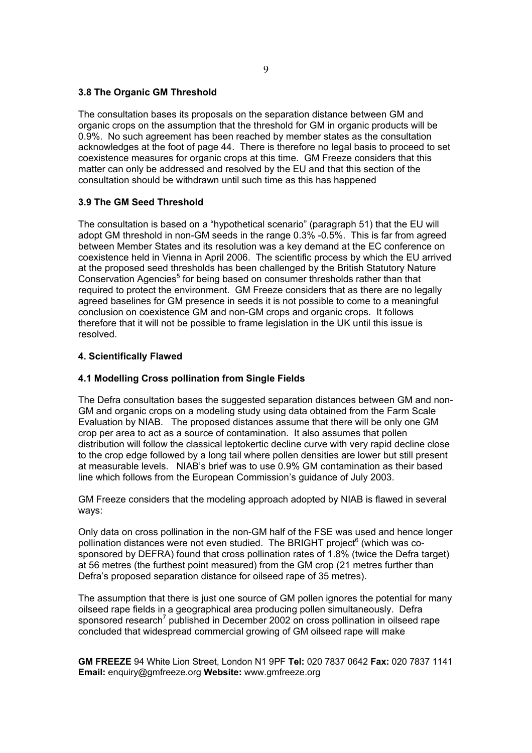## **3.8 The Organic GM Threshold**

The consultation bases its proposals on the separation distance between GM and organic crops on the assumption that the threshold for GM in organic products will be 0.9%. No such agreement has been reached by member states as the consultation acknowledges at the foot of page 44. There is therefore no legal basis to proceed to set coexistence measures for organic crops at this time. GM Freeze considers that this matter can only be addressed and resolved by the EU and that this section of the consultation should be withdrawn until such time as this has happened

## **3.9 The GM Seed Threshold**

The consultation is based on a "hypothetical scenario" (paragraph 51) that the EU will adopt GM threshold in non-GM seeds in the range 0.3% -0.5%. This is far from agreed between Member States and its resolution was a key demand at the EC conference on coexistence held in Vienna in April 2006. The scientific process by which the EU arrived at the proposed seed thresholds has been challenged by the British Statutory Nature Conservation Agencies<sup>5</sup> for being based on consumer thresholds rather than that required to protect the environment. GM Freeze considers that as there are no legally agreed baselines for GM presence in seeds it is not possible to come to a meaningful conclusion on coexistence GM and non-GM crops and organic crops. It follows therefore that it will not be possible to frame legislation in the UK until this issue is resolved.

## **4. Scientifically Flawed**

## **4.1 Modelling Cross pollination from Single Fields**

The Defra consultation bases the suggested separation distances between GM and non-GM and organic crops on a modeling study using data obtained from the Farm Scale Evaluation by NIAB. The proposed distances assume that there will be only one GM crop per area to act as a source of contamination. It also assumes that pollen distribution will follow the classical leptokertic decline curve with very rapid decline close to the crop edge followed by a long tail where pollen densities are lower but still present at measurable levels. NIAB's brief was to use 0.9% GM contamination as their based line which follows from the European Commission's guidance of July 2003.

GM Freeze considers that the modeling approach adopted by NIAB is flawed in several ways:

Only data on cross pollination in the non-GM half of the FSE was used and hence longer pollination distances were not even studied. The BRIGHT project<sup>6</sup> (which was cosponsored by DEFRA) found that cross pollination rates of 1.8% (twice the Defra target) at 56 metres (the furthest point measured) from the GM crop (21 metres further than Defra's proposed separation distance for oilseed rape of 35 metres).

The assumption that there is just one source of GM pollen ignores the potential for many oilseed rape fields in a geographical area producing pollen simultaneously. Defra sponsored research<sup>7</sup> published in December 2002 on cross pollination in oilseed rape concluded that widespread commercial growing of GM oilseed rape will make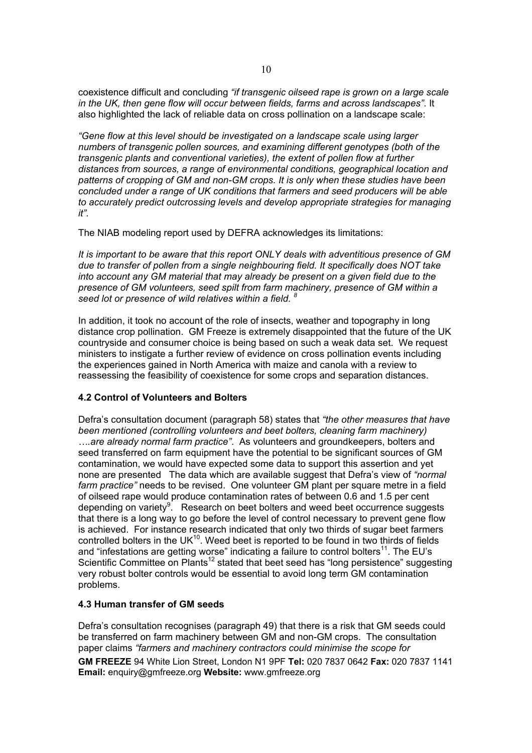coexistence difficult and concluding *"if transgenic oilseed rape is grown on a large scale in the UK, then gene flow will occur between fields, farms and across landscapes"*. It also highlighted the lack of reliable data on cross pollination on a landscape scale:

*"Gene flow at this level should be investigated on a landscape scale using larger numbers of transgenic pollen sources, and examining different genotypes (both of the transgenic plants and conventional varieties), the extent of pollen flow at further distances from sources, a range of environmental conditions, geographical location and patterns of cropping of GM and non-GM crops. It is only when these studies have been concluded under a range of UK conditions that farmers and seed producers will be able to accurately predict outcrossing levels and develop appropriate strategies for managing it".* 

The NIAB modeling report used by DEFRA acknowledges its limitations:

*It is important to be aware that this report ONLY deals with adventitious presence of GM due to transfer of pollen from a single neighbouring field. It specifically does NOT take into account any GM material that may already be present on a given field due to the presence of GM volunteers, seed spilt from farm machinery, presence of GM within a seed lot or presence of wild relatives within a field. <sup>8</sup>*

In addition, it took no account of the role of insects, weather and topography in long distance crop pollination. GM Freeze is extremely disappointed that the future of the UK countryside and consumer choice is being based on such a weak data set. We request ministers to instigate a further review of evidence on cross pollination events including the experiences gained in North America with maize and canola with a review to reassessing the feasibility of coexistence for some crops and separation distances.

# **4.2 Control of Volunteers and Bolters**

Defra's consultation document (paragraph 58) states that *"the other measures that have been mentioned (controlling volunteers and beet bolters, cleaning farm machinery) ….are already normal farm practice"*. As volunteers and groundkeepers, bolters and seed transferred on farm equipment have the potential to be significant sources of GM contamination, we would have expected some data to support this assertion and yet none are presented The data which are available suggest that Defra's view of *"normal farm practice"* needs to be revised. One volunteer GM plant per square metre in a field of oilseed rape would produce contamination rates of between 0.6 and 1.5 per cent depending on variety $9$ . Research on beet bolters and weed beet occurrence suggests that there is a long way to go before the level of control necessary to prevent gene flow is achieved. For instance research indicated that only two thirds of sugar beet farmers controlled bolters in the  $UK^{10}$ . Weed beet is reported to be found in two thirds of fields and "infestations are getting worse" indicating a failure to control bolters<sup>11</sup>. The EU's Scientific Committee on Plants<sup>12</sup> stated that beet seed has "long persistence" suggesting very robust bolter controls would be essential to avoid long term GM contamination problems.

## **4.3 Human transfer of GM seeds**

Defra's consultation recognises (paragraph 49) that there is a risk that GM seeds could be transferred on farm machinery between GM and non-GM crops. The consultation paper claims *"farmers and machinery contractors could minimise the scope for*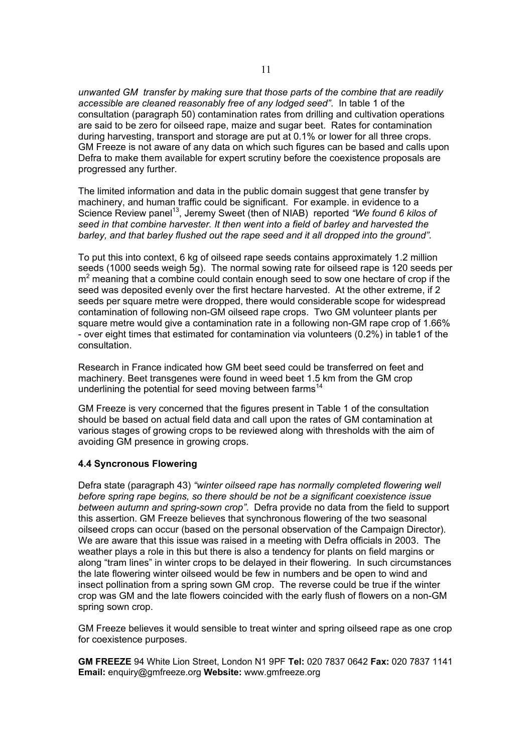*unwanted GM transfer by making sure that those parts of the combine that are readily accessible are cleaned reasonably free of any lodged seed"*. In table 1 of the consultation (paragraph 50) contamination rates from drilling and cultivation operations are said to be zero for oilseed rape, maize and sugar beet. Rates for contamination during harvesting, transport and storage are put at 0.1% or lower for all three crops. GM Freeze is not aware of any data on which such figures can be based and calls upon Defra to make them available for expert scrutiny before the coexistence proposals are progressed any further.

The limited information and data in the public domain suggest that gene transfer by machinery, and human traffic could be significant. For example. in evidence to a Science Review panel<sup>13</sup>, Jeremy Sweet (then of NIAB) reported "We found 6 kilos of *seed in that combine harvester. It then went into a field of barley and harvested the barley, and that barley flushed out the rape seed and it all dropped into the ground".* 

To put this into context, 6 kg of oilseed rape seeds contains approximately 1.2 million seeds (1000 seeds weigh 5g). The normal sowing rate for oilseed rape is 120 seeds per  $m<sup>2</sup>$  meaning that a combine could contain enough seed to sow one hectare of crop if the seed was deposited evenly over the first hectare harvested. At the other extreme, if 2 seeds per square metre were dropped, there would considerable scope for widespread contamination of following non-GM oilseed rape crops. Two GM volunteer plants per square metre would give a contamination rate in a following non-GM rape crop of 1.66% - over eight times that estimated for contamination via volunteers (0.2%) in table1 of the consultation.

Research in France indicated how GM beet seed could be transferred on feet and machinery. Beet transgenes were found in weed beet 1.5 km from the GM crop underlining the potential for seed moving between farms<sup>14</sup>

GM Freeze is very concerned that the figures present in Table 1 of the consultation should be based on actual field data and call upon the rates of GM contamination at various stages of growing crops to be reviewed along with thresholds with the aim of avoiding GM presence in growing crops.

## **4.4 Syncronous Flowering**

Defra state (paragraph 43) *"winter oilseed rape has normally completed flowering well before spring rape begins, so there should be not be a significant coexistence issue between autumn and spring-sown crop"*. Defra provide no data from the field to support this assertion. GM Freeze believes that synchronous flowering of the two seasonal oilseed crops can occur (based on the personal observation of the Campaign Director). We are aware that this issue was raised in a meeting with Defra officials in 2003. The weather plays a role in this but there is also a tendency for plants on field margins or along "tram lines" in winter crops to be delayed in their flowering. In such circumstances the late flowering winter oilseed would be few in numbers and be open to wind and insect pollination from a spring sown GM crop. The reverse could be true if the winter crop was GM and the late flowers coincided with the early flush of flowers on a non-GM spring sown crop.

GM Freeze believes it would sensible to treat winter and spring oilseed rape as one crop for coexistence purposes.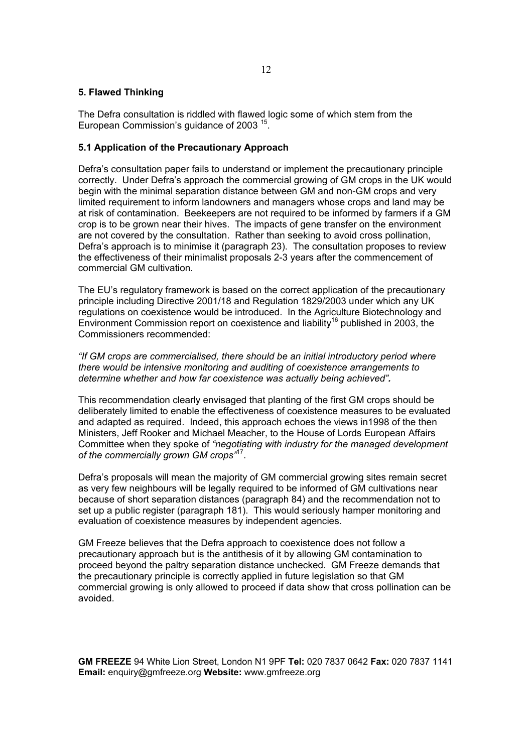## **5. Flawed Thinking**

The Defra consultation is riddled with flawed logic some of which stem from the European Commission's guidance of 2003 15.

## **5.1 Application of the Precautionary Approach**

Defra's consultation paper fails to understand or implement the precautionary principle correctly. Under Defra's approach the commercial growing of GM crops in the UK would begin with the minimal separation distance between GM and non-GM crops and very limited requirement to inform landowners and managers whose crops and land may be at risk of contamination. Beekeepers are not required to be informed by farmers if a GM crop is to be grown near their hives. The impacts of gene transfer on the environment are not covered by the consultation. Rather than seeking to avoid cross pollination, Defra's approach is to minimise it (paragraph 23). The consultation proposes to review the effectiveness of their minimalist proposals 2-3 years after the commencement of commercial GM cultivation.

The EU's regulatory framework is based on the correct application of the precautionary principle including Directive 2001/18 and Regulation 1829/2003 under which any UK regulations on coexistence would be introduced. In the Agriculture Biotechnology and Environment Commission report on coexistence and liability<sup>16</sup> published in 2003, the Commissioners recommended:

*"If GM crops are commercialised, there should be an initial introductory period where there would be intensive monitoring and auditing of coexistence arrangements to determine whether and how far coexistence was actually being achieved".* 

This recommendation clearly envisaged that planting of the first GM crops should be deliberately limited to enable the effectiveness of coexistence measures to be evaluated and adapted as required. Indeed, this approach echoes the views in1998 of the then Ministers, Jeff Rooker and Michael Meacher, to the House of Lords European Affairs Committee when they spoke of *"negotiating with industry for the managed development of the commercially grown GM crops"*17.

Defra's proposals will mean the majority of GM commercial growing sites remain secret as very few neighbours will be legally required to be informed of GM cultivations near because of short separation distances (paragraph 84) and the recommendation not to set up a public register (paragraph 181). This would seriously hamper monitoring and evaluation of coexistence measures by independent agencies.

GM Freeze believes that the Defra approach to coexistence does not follow a precautionary approach but is the antithesis of it by allowing GM contamination to proceed beyond the paltry separation distance unchecked. GM Freeze demands that the precautionary principle is correctly applied in future legislation so that GM commercial growing is only allowed to proceed if data show that cross pollination can be avoided.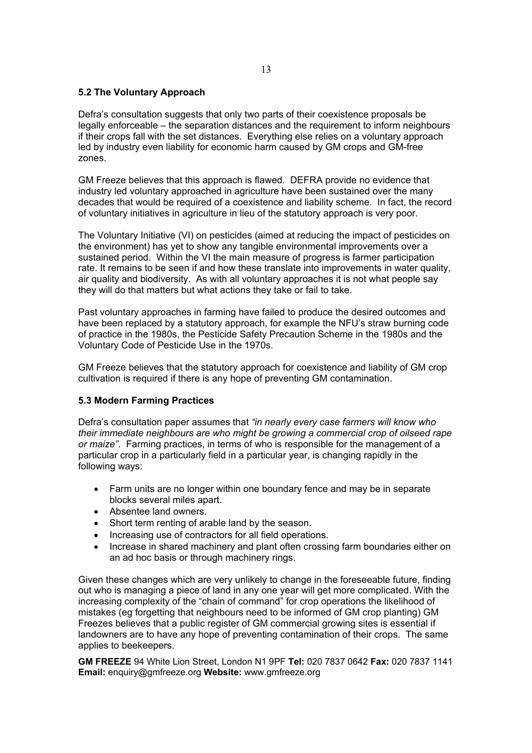## **5.2 The Voluntary Approach**

Defra's consultation suggests that only two parts of their coexistence proposals be legally enforceable – the separation distances and the requirement to inform neighbours if their crops fall with the set distances. Everything else relies on a voluntary approach led by industry even liability for economic harm caused by GM crops and GM-free zones.

GM Freeze believes that this approach is flawed. DEFRA provide no evidence that industry led voluntary approached in agriculture have been sustained over the many decades that would be required of a coexistence and liability scheme. In fact, the record of voluntary initiatives in agriculture in lieu of the statutory approach is very poor.

The Voluntary Initiative (VI) on pesticides (aimed at reducing the impact of pesticides on the environment) has yet to show any tangible environmental improvements over a sustained period. Within the VI the main measure of progress is farmer participation rate. It remains to be seen if and how these translate into improvements in water quality, air quality and biodiversity. As with all voluntary approaches it is not what people say they will do that matters but what actions they take or fail to take.

Past voluntary approaches in farming have failed to produce the desired outcomes and have been replaced by a statutory approach, for example the NFU's straw burning code of practice in the 1980s, the Pesticide Safety Precaution Scheme in the 1980s and the Voluntary Code of Pesticide Use in the 1970s.

GM Freeze believes that the statutory approach for coexistence and liability of GM crop cultivation is required if there is any hope of preventing GM contamination.

## **5.3 Modern Farming Practices**

Defra's consultation paper assumes that *"in nearly every case farmers will know who their immediate neighbours are who might be growing a commercial crop of oilseed rape or maize"*. Farming practices, in terms of who is responsible for the management of a particular crop in a particularly field in a particular year, is changing rapidly in the following ways:

- Farm units are no longer within one boundary fence and may be in separate blocks several miles apart.
- Absentee land owners.
- Short term renting of arable land by the season.
- Increasing use of contractors for all field operations.
- Increase in shared machinery and plant often crossing farm boundaries either on an ad hoc basis or through machinery rings.

Given these changes which are very unlikely to change in the foreseeable future, finding out who is managing a piece of land in any one year will get more complicated. With the increasing complexity of the "chain of command" for crop operations the likelihood of mistakes (eg forgetting that neighbours need to be informed of GM crop planting) GM Freezes believes that a public register of GM commercial growing sites is essential if landowners are to have any hope of preventing contamination of their crops. The same applies to beekeepers.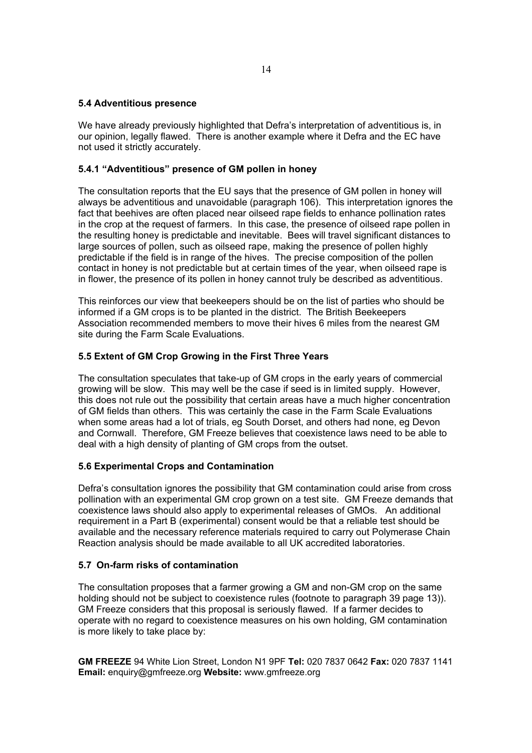## **5.4 Adventitious presence**

We have already previously highlighted that Defra's interpretation of adventitious is, in our opinion, legally flawed. There is another example where it Defra and the EC have not used it strictly accurately.

## **5.4.1 "Adventitious" presence of GM pollen in honey**

The consultation reports that the EU says that the presence of GM pollen in honey will always be adventitious and unavoidable (paragraph 106). This interpretation ignores the fact that beehives are often placed near oilseed rape fields to enhance pollination rates in the crop at the request of farmers. In this case, the presence of oilseed rape pollen in the resulting honey is predictable and inevitable. Bees will travel significant distances to large sources of pollen, such as oilseed rape, making the presence of pollen highly predictable if the field is in range of the hives. The precise composition of the pollen contact in honey is not predictable but at certain times of the year, when oilseed rape is in flower, the presence of its pollen in honey cannot truly be described as adventitious.

This reinforces our view that beekeepers should be on the list of parties who should be informed if a GM crops is to be planted in the district. The British Beekeepers Association recommended members to move their hives 6 miles from the nearest GM site during the Farm Scale Evaluations.

### **5.5 Extent of GM Crop Growing in the First Three Years**

The consultation speculates that take-up of GM crops in the early years of commercial growing will be slow. This may well be the case if seed is in limited supply. However, this does not rule out the possibility that certain areas have a much higher concentration of GM fields than others. This was certainly the case in the Farm Scale Evaluations when some areas had a lot of trials, eg South Dorset, and others had none, eg Devon and Cornwall. Therefore, GM Freeze believes that coexistence laws need to be able to deal with a high density of planting of GM crops from the outset.

## **5.6 Experimental Crops and Contamination**

Defra's consultation ignores the possibility that GM contamination could arise from cross pollination with an experimental GM crop grown on a test site. GM Freeze demands that coexistence laws should also apply to experimental releases of GMOs. An additional requirement in a Part B (experimental) consent would be that a reliable test should be available and the necessary reference materials required to carry out Polymerase Chain Reaction analysis should be made available to all UK accredited laboratories.

## **5.7 On-farm risks of contamination**

The consultation proposes that a farmer growing a GM and non-GM crop on the same holding should not be subject to coexistence rules (footnote to paragraph 39 page 13)). GM Freeze considers that this proposal is seriously flawed. If a farmer decides to operate with no regard to coexistence measures on his own holding, GM contamination is more likely to take place by: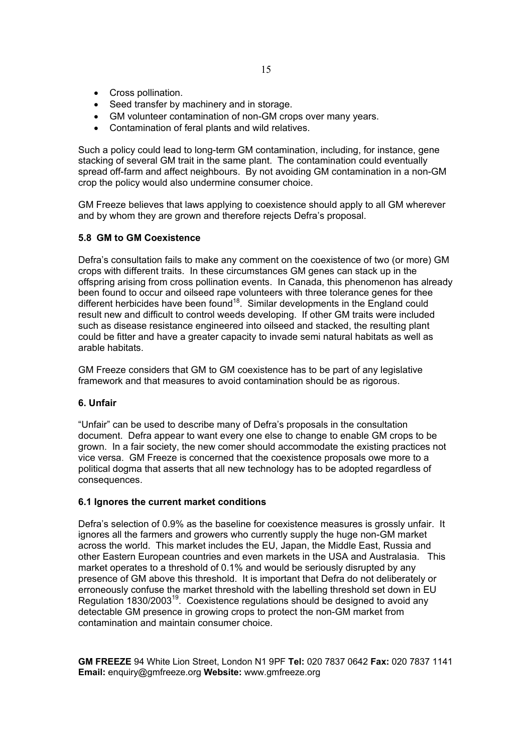- Cross pollination.
- Seed transfer by machinery and in storage.
- GM volunteer contamination of non-GM crops over many years.
- Contamination of feral plants and wild relatives.

Such a policy could lead to long-term GM contamination, including, for instance, gene stacking of several GM trait in the same plant. The contamination could eventually spread off-farm and affect neighbours. By not avoiding GM contamination in a non-GM crop the policy would also undermine consumer choice.

GM Freeze believes that laws applying to coexistence should apply to all GM wherever and by whom they are grown and therefore rejects Defra's proposal.

## **5.8 GM to GM Coexistence**

Defra's consultation fails to make any comment on the coexistence of two (or more) GM crops with different traits. In these circumstances GM genes can stack up in the offspring arising from cross pollination events. In Canada, this phenomenon has already been found to occur and oilseed rape volunteers with three tolerance genes for thee different herbicides have been found<sup>18</sup>. Similar developments in the England could result new and difficult to control weeds developing. If other GM traits were included such as disease resistance engineered into oilseed and stacked, the resulting plant could be fitter and have a greater capacity to invade semi natural habitats as well as arable habitats.

GM Freeze considers that GM to GM coexistence has to be part of any legislative framework and that measures to avoid contamination should be as rigorous.

## **6. Unfair**

"Unfair" can be used to describe many of Defra's proposals in the consultation document. Defra appear to want every one else to change to enable GM crops to be grown. In a fair society, the new comer should accommodate the existing practices not vice versa. GM Freeze is concerned that the coexistence proposals owe more to a political dogma that asserts that all new technology has to be adopted regardless of consequences.

## **6.1 Ignores the current market conditions**

Defra's selection of 0.9% as the baseline for coexistence measures is grossly unfair. It ignores all the farmers and growers who currently supply the huge non-GM market across the world. This market includes the EU, Japan, the Middle East, Russia and other Eastern European countries and even markets in the USA and Australasia. This market operates to a threshold of 0.1% and would be seriously disrupted by any presence of GM above this threshold. It is important that Defra do not deliberately or erroneously confuse the market threshold with the labelling threshold set down in EU Regulation 1830/2003<sup>19</sup>. Coexistence regulations should be designed to avoid any detectable GM presence in growing crops to protect the non-GM market from contamination and maintain consumer choice.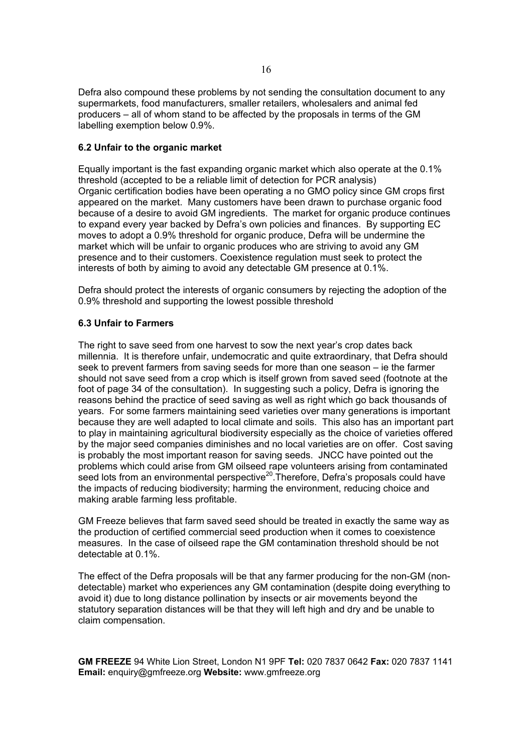Defra also compound these problems by not sending the consultation document to any supermarkets, food manufacturers, smaller retailers, wholesalers and animal fed producers – all of whom stand to be affected by the proposals in terms of the GM labelling exemption below 0.9%.

## **6.2 Unfair to the organic market**

Equally important is the fast expanding organic market which also operate at the 0.1% threshold (accepted to be a reliable limit of detection for PCR analysis) Organic certification bodies have been operating a no GMO policy since GM crops first appeared on the market. Many customers have been drawn to purchase organic food because of a desire to avoid GM ingredients. The market for organic produce continues to expand every year backed by Defra's own policies and finances. By supporting EC moves to adopt a 0.9% threshold for organic produce, Defra will be undermine the market which will be unfair to organic produces who are striving to avoid any GM presence and to their customers. Coexistence regulation must seek to protect the interests of both by aiming to avoid any detectable GM presence at 0.1%.

Defra should protect the interests of organic consumers by rejecting the adoption of the 0.9% threshold and supporting the lowest possible threshold

## **6.3 Unfair to Farmers**

The right to save seed from one harvest to sow the next year's crop dates back millennia. It is therefore unfair, undemocratic and quite extraordinary, that Defra should seek to prevent farmers from saving seeds for more than one season – ie the farmer should not save seed from a crop which is itself grown from saved seed (footnote at the foot of page 34 of the consultation). In suggesting such a policy, Defra is ignoring the reasons behind the practice of seed saving as well as right which go back thousands of years. For some farmers maintaining seed varieties over many generations is important because they are well adapted to local climate and soils. This also has an important part to play in maintaining agricultural biodiversity especially as the choice of varieties offered by the major seed companies diminishes and no local varieties are on offer. Cost saving is probably the most important reason for saving seeds. JNCC have pointed out the problems which could arise from GM oilseed rape volunteers arising from contaminated seed lots from an environmental perspective<sup>20</sup>. Therefore, Defra's proposals could have the impacts of reducing biodiversity; harming the environment, reducing choice and making arable farming less profitable.

GM Freeze believes that farm saved seed should be treated in exactly the same way as the production of certified commercial seed production when it comes to coexistence measures. In the case of oilseed rape the GM contamination threshold should be not detectable at 0.1%.

The effect of the Defra proposals will be that any farmer producing for the non-GM (nondetectable) market who experiences any GM contamination (despite doing everything to avoid it) due to long distance pollination by insects or air movements beyond the statutory separation distances will be that they will left high and dry and be unable to claim compensation.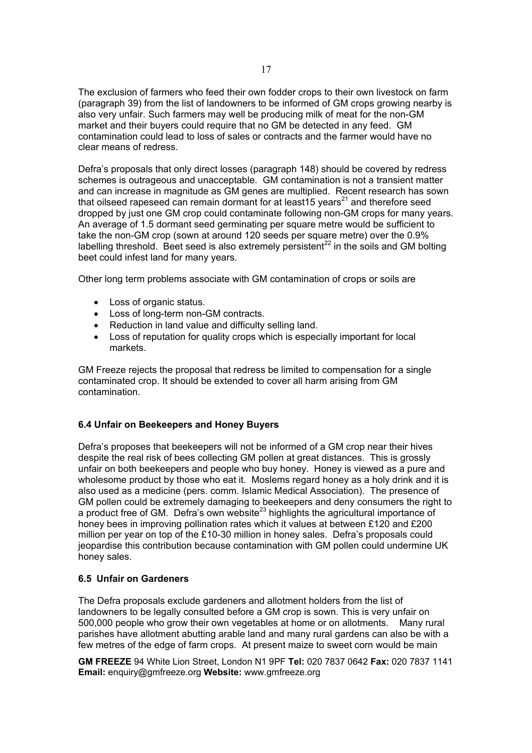The exclusion of farmers who feed their own fodder crops to their own livestock on farm (paragraph 39) from the list of landowners to be informed of GM crops growing nearby is also very unfair. Such farmers may well be producing milk of meat for the non-GM market and their buyers could require that no GM be detected in any feed. GM contamination could lead to loss of sales or contracts and the farmer would have no clear means of redress.

Defra's proposals that only direct losses (paragraph 148) should be covered by redress schemes is outrageous and unacceptable. GM contamination is not a transient matter and can increase in magnitude as GM genes are multiplied. Recent research has sown that oilseed rapeseed can remain dormant for at least15 years $21$  and therefore seed dropped by just one GM crop could contaminate following non-GM crops for many years. An average of 1.5 dormant seed germinating per square metre would be sufficient to take the non-GM crop (sown at around 120 seeds per square metre) over the 0.9% labelling threshold. Beet seed is also extremely persistent<sup>22</sup> in the soils and GM bolting beet could infest land for many years.

Other long term problems associate with GM contamination of crops or soils are

- Loss of organic status.
- Loss of long-term non-GM contracts.
- Reduction in land value and difficulty selling land.
- Loss of reputation for quality crops which is especially important for local markets.

GM Freeze rejects the proposal that redress be limited to compensation for a single contaminated crop. It should be extended to cover all harm arising from GM contamination.

# **6.4 Unfair on Beekeepers and Honey Buyers**

Defra's proposes that beekeepers will not be informed of a GM crop near their hives despite the real risk of bees collecting GM pollen at great distances. This is grossly unfair on both beekeepers and people who buy honey. Honey is viewed as a pure and wholesome product by those who eat it. Moslems regard honey as a holy drink and it is also used as a medicine (pers. comm. Islamic Medical Association). The presence of GM pollen could be extremely damaging to beekeepers and deny consumers the right to a product free of GM. Defra's own website<sup>23</sup> highlights the agricultural importance of honey bees in improving pollination rates which it values at between £120 and £200 million per year on top of the £10-30 million in honey sales. Defra's proposals could jeopardise this contribution because contamination with GM pollen could undermine UK honey sales.

# **6.5 Unfair on Gardeners**

The Defra proposals exclude gardeners and allotment holders from the list of landowners to be legally consulted before a GM crop is sown. This is very unfair on 500,000 people who grow their own vegetables at home or on allotments. Many rural parishes have allotment abutting arable land and many rural gardens can also be with a few metres of the edge of farm crops. At present maize to sweet corn would be main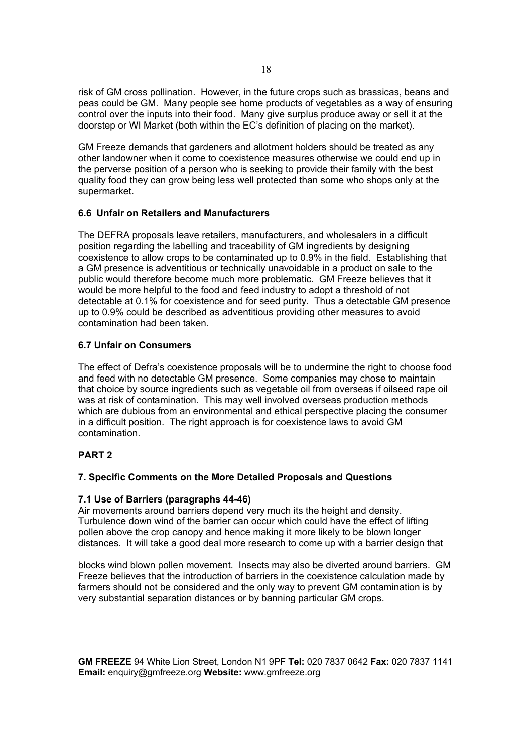risk of GM cross pollination. However, in the future crops such as brassicas, beans and peas could be GM. Many people see home products of vegetables as a way of ensuring control over the inputs into their food. Many give surplus produce away or sell it at the doorstep or WI Market (both within the EC's definition of placing on the market).

GM Freeze demands that gardeners and allotment holders should be treated as any other landowner when it come to coexistence measures otherwise we could end up in the perverse position of a person who is seeking to provide their family with the best quality food they can grow being less well protected than some who shops only at the supermarket.

## **6.6 Unfair on Retailers and Manufacturers**

The DEFRA proposals leave retailers, manufacturers, and wholesalers in a difficult position regarding the labelling and traceability of GM ingredients by designing coexistence to allow crops to be contaminated up to 0.9% in the field. Establishing that a GM presence is adventitious or technically unavoidable in a product on sale to the public would therefore become much more problematic. GM Freeze believes that it would be more helpful to the food and feed industry to adopt a threshold of not detectable at 0.1% for coexistence and for seed purity. Thus a detectable GM presence up to 0.9% could be described as adventitious providing other measures to avoid contamination had been taken.

## **6.7 Unfair on Consumers**

The effect of Defra's coexistence proposals will be to undermine the right to choose food and feed with no detectable GM presence. Some companies may chose to maintain that choice by source ingredients such as vegetable oil from overseas if oilseed rape oil was at risk of contamination. This may well involved overseas production methods which are dubious from an environmental and ethical perspective placing the consumer in a difficult position. The right approach is for coexistence laws to avoid GM contamination.

# **PART 2**

# **7. Specific Comments on the More Detailed Proposals and Questions**

## **7.1 Use of Barriers (paragraphs 44-46)**

Air movements around barriers depend very much its the height and density. Turbulence down wind of the barrier can occur which could have the effect of lifting pollen above the crop canopy and hence making it more likely to be blown longer distances. It will take a good deal more research to come up with a barrier design that

blocks wind blown pollen movement. Insects may also be diverted around barriers. GM Freeze believes that the introduction of barriers in the coexistence calculation made by farmers should not be considered and the only way to prevent GM contamination is by very substantial separation distances or by banning particular GM crops.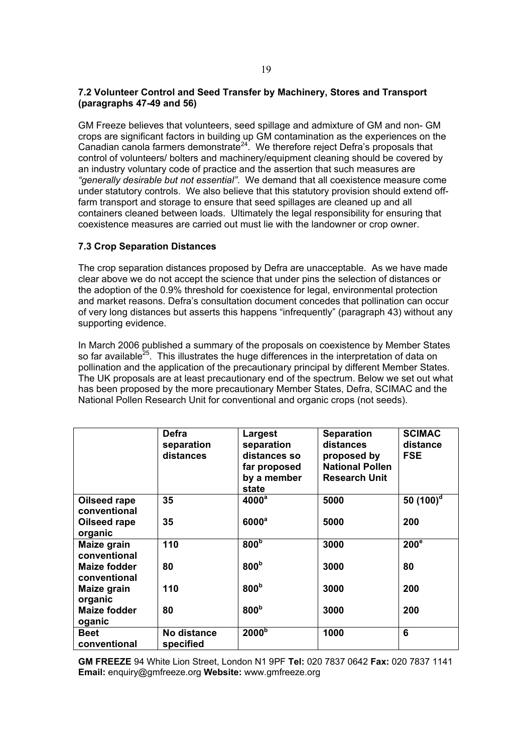## **7.2 Volunteer Control and Seed Transfer by Machinery, Stores and Transport (paragraphs 47-49 and 56)**

GM Freeze believes that volunteers, seed spillage and admixture of GM and non- GM crops are significant factors in building up GM contamination as the experiences on the Canadian canola farmers demonstrate<sup>24</sup>. We therefore reject Defra's proposals that control of volunteers/ bolters and machinery/equipment cleaning should be covered by an industry voluntary code of practice and the assertion that such measures are *"generally desirable but not essential"*. We demand that all coexistence measure come under statutory controls. We also believe that this statutory provision should extend offfarm transport and storage to ensure that seed spillages are cleaned up and all containers cleaned between loads. Ultimately the legal responsibility for ensuring that coexistence measures are carried out must lie with the landowner or crop owner.

## **7.3 Crop Separation Distances**

The crop separation distances proposed by Defra are unacceptable. As we have made clear above we do not accept the science that under pins the selection of distances or the adoption of the 0.9% threshold for coexistence for legal, environmental protection and market reasons. Defra's consultation document concedes that pollination can occur of very long distances but asserts this happens "infrequently" (paragraph 43) without any supporting evidence.

In March 2006 published a summary of the proposals on coexistence by Member States so far available<sup>25</sup>. This illustrates the huge differences in the interpretation of data on pollination and the application of the precautionary principal by different Member States. The UK proposals are at least precautionary end of the spectrum. Below we set out what has been proposed by the more precautionary Member States, Defra, SCIMAC and the National Pollen Research Unit for conventional and organic crops (not seeds).

|                               | Defra<br>separation<br>distances | Largest<br>separation<br>distances so<br>far proposed<br>by a member<br>state | <b>Separation</b><br>distances<br>proposed by<br><b>National Pollen</b><br><b>Research Unit</b> | <b>SCIMAC</b><br>distance<br><b>FSE</b> |
|-------------------------------|----------------------------------|-------------------------------------------------------------------------------|-------------------------------------------------------------------------------------------------|-----------------------------------------|
| Oilseed rape<br>conventional  | 35                               | 4000 <sup>a</sup>                                                             | 5000                                                                                            | 50 $(100)^d$                            |
| Oilseed rape<br>organic       | 35                               | 6000 <sup>a</sup>                                                             | 5000                                                                                            | 200                                     |
| Maize grain<br>conventional   | 110                              | 800 <sub>p</sub>                                                              | 3000                                                                                            | 200 <sup>e</sup>                        |
| Maize fodder<br>conventional  | 80                               | 800 <sup>b</sup>                                                              | 3000                                                                                            | 80                                      |
| Maize grain<br>organic        | 110                              | 800 <sup>b</sup>                                                              | 3000                                                                                            | 200                                     |
| <b>Maize fodder</b><br>oganic | 80                               | 800 <sup>b</sup>                                                              | 3000                                                                                            | 200                                     |
| Beet<br>conventional          | No distance<br>specified         | 2000 <sup>b</sup>                                                             | 1000                                                                                            | 6                                       |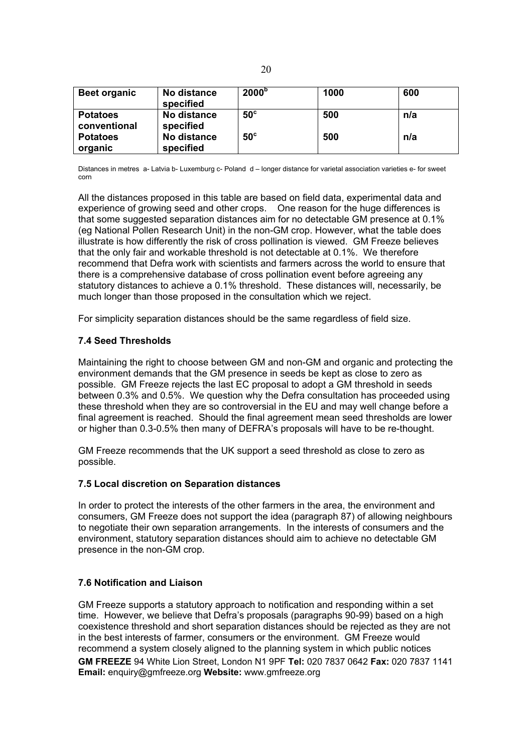| <b>Beet organic</b>             | No distance<br>specified | 2000 <sup>b</sup> | 1000 | 600 |
|---------------------------------|--------------------------|-------------------|------|-----|
| <b>Potatoes</b><br>conventional | No distance<br>specified | $50^\circ$        | 500  | n/a |
| <b>Potatoes</b><br>organic      | No distance<br>specified | $50^\circ$        | 500  | n/a |

Distances in metres a- Latvia b- Luxemburg c- Poland d – longer distance for varietal association varieties e- for sweet corn

All the distances proposed in this table are based on field data, experimental data and experience of growing seed and other crops. One reason for the huge differences is that some suggested separation distances aim for no detectable GM presence at 0.1% (eg National Pollen Research Unit) in the non-GM crop. However, what the table does illustrate is how differently the risk of cross pollination is viewed. GM Freeze believes that the only fair and workable threshold is not detectable at 0.1%. We therefore recommend that Defra work with scientists and farmers across the world to ensure that there is a comprehensive database of cross pollination event before agreeing any statutory distances to achieve a 0.1% threshold. These distances will, necessarily, be much longer than those proposed in the consultation which we reject.

For simplicity separation distances should be the same regardless of field size.

## **7.4 Seed Thresholds**

Maintaining the right to choose between GM and non-GM and organic and protecting the environment demands that the GM presence in seeds be kept as close to zero as possible. GM Freeze rejects the last EC proposal to adopt a GM threshold in seeds between 0.3% and 0.5%. We question why the Defra consultation has proceeded using these threshold when they are so controversial in the EU and may well change before a final agreement is reached. Should the final agreement mean seed thresholds are lower or higher than 0.3-0.5% then many of DEFRA's proposals will have to be re-thought.

GM Freeze recommends that the UK support a seed threshold as close to zero as possible.

## **7.5 Local discretion on Separation distances**

In order to protect the interests of the other farmers in the area, the environment and consumers, GM Freeze does not support the idea (paragraph 87) of allowing neighbours to negotiate their own separation arrangements. In the interests of consumers and the environment, statutory separation distances should aim to achieve no detectable GM presence in the non-GM crop.

## **7.6 Notification and Liaison**

**GM FREEZE** 94 White Lion Street, London N1 9PF **Tel:** 020 7837 0642 **Fax:** 020 7837 1141 **Email:** enquiry@gmfreeze.org **Website:** www.gmfreeze.org GM Freeze supports a statutory approach to notification and responding within a set time. However, we believe that Defra's proposals (paragraphs 90-99) based on a high coexistence threshold and short separation distances should be rejected as they are not in the best interests of farmer, consumers or the environment. GM Freeze would recommend a system closely aligned to the planning system in which public notices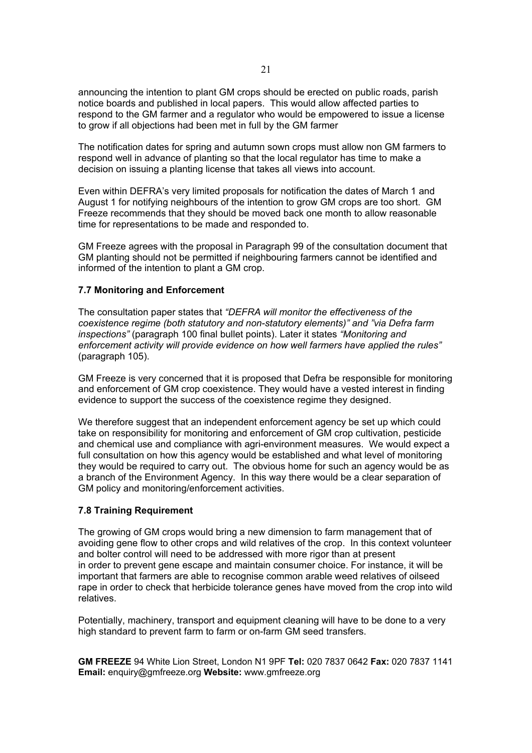announcing the intention to plant GM crops should be erected on public roads, parish notice boards and published in local papers. This would allow affected parties to respond to the GM farmer and a regulator who would be empowered to issue a license to grow if all objections had been met in full by the GM farmer

The notification dates for spring and autumn sown crops must allow non GM farmers to respond well in advance of planting so that the local regulator has time to make a decision on issuing a planting license that takes all views into account.

Even within DEFRA's very limited proposals for notification the dates of March 1 and August 1 for notifying neighbours of the intention to grow GM crops are too short. GM Freeze recommends that they should be moved back one month to allow reasonable time for representations to be made and responded to.

GM Freeze agrees with the proposal in Paragraph 99 of the consultation document that GM planting should not be permitted if neighbouring farmers cannot be identified and informed of the intention to plant a GM crop.

### **7.7 Monitoring and Enforcement**

The consultation paper states that *"DEFRA will monitor the effectiveness of the coexistence regime (both statutory and non-statutory elements)" and "via Defra farm inspections"* (paragraph 100 final bullet points). Later it states *"Monitoring and enforcement activity will provide evidence on how well farmers have applied the rules"* (paragraph 105).

GM Freeze is very concerned that it is proposed that Defra be responsible for monitoring and enforcement of GM crop coexistence. They would have a vested interest in finding evidence to support the success of the coexistence regime they designed.

We therefore suggest that an independent enforcement agency be set up which could take on responsibility for monitoring and enforcement of GM crop cultivation, pesticide and chemical use and compliance with agri-environment measures. We would expect a full consultation on how this agency would be established and what level of monitoring they would be required to carry out. The obvious home for such an agency would be as a branch of the Environment Agency. In this way there would be a clear separation of GM policy and monitoring/enforcement activities.

## **7.8 Training Requirement**

The growing of GM crops would bring a new dimension to farm management that of avoiding gene flow to other crops and wild relatives of the crop. In this context volunteer and bolter control will need to be addressed with more rigor than at present in order to prevent gene escape and maintain consumer choice. For instance, it will be important that farmers are able to recognise common arable weed relatives of oilseed rape in order to check that herbicide tolerance genes have moved from the crop into wild relatives.

Potentially, machinery, transport and equipment cleaning will have to be done to a very high standard to prevent farm to farm or on-farm GM seed transfers.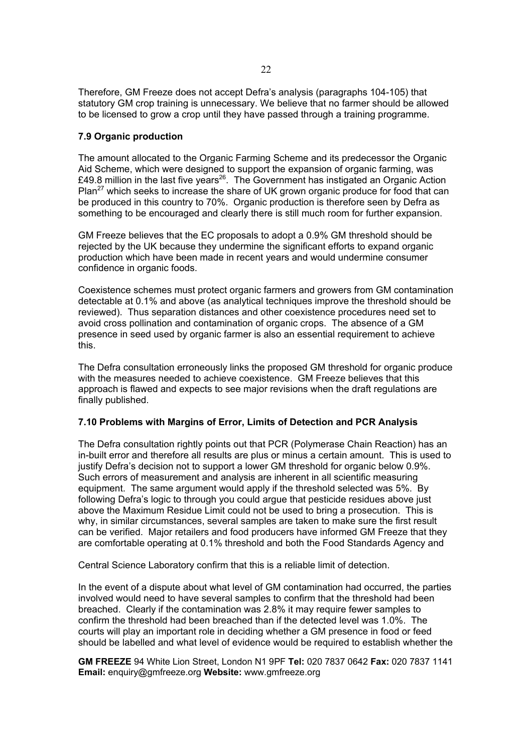Therefore, GM Freeze does not accept Defra's analysis (paragraphs 104-105) that statutory GM crop training is unnecessary. We believe that no farmer should be allowed to be licensed to grow a crop until they have passed through a training programme.

## **7.9 Organic production**

The amount allocated to the Organic Farming Scheme and its predecessor the Organic Aid Scheme, which were designed to support the expansion of organic farming, was £49.8 million in the last five years<sup>26</sup>. The Government has instigated an Organic Action Plan<sup>27</sup> which seeks to increase the share of UK grown organic produce for food that can be produced in this country to 70%. Organic production is therefore seen by Defra as something to be encouraged and clearly there is still much room for further expansion.

GM Freeze believes that the EC proposals to adopt a 0.9% GM threshold should be rejected by the UK because they undermine the significant efforts to expand organic production which have been made in recent years and would undermine consumer confidence in organic foods.

Coexistence schemes must protect organic farmers and growers from GM contamination detectable at 0.1% and above (as analytical techniques improve the threshold should be reviewed). Thus separation distances and other coexistence procedures need set to avoid cross pollination and contamination of organic crops. The absence of a GM presence in seed used by organic farmer is also an essential requirement to achieve this.

The Defra consultation erroneously links the proposed GM threshold for organic produce with the measures needed to achieve coexistence. GM Freeze believes that this approach is flawed and expects to see major revisions when the draft regulations are finally published.

## **7.10 Problems with Margins of Error, Limits of Detection and PCR Analysis**

The Defra consultation rightly points out that PCR (Polymerase Chain Reaction) has an in-built error and therefore all results are plus or minus a certain amount. This is used to justify Defra's decision not to support a lower GM threshold for organic below 0.9%. Such errors of measurement and analysis are inherent in all scientific measuring equipment. The same argument would apply if the threshold selected was 5%. By following Defra's logic to through you could argue that pesticide residues above just above the Maximum Residue Limit could not be used to bring a prosecution. This is why, in similar circumstances, several samples are taken to make sure the first result can be verified. Major retailers and food producers have informed GM Freeze that they are comfortable operating at 0.1% threshold and both the Food Standards Agency and

Central Science Laboratory confirm that this is a reliable limit of detection.

In the event of a dispute about what level of GM contamination had occurred, the parties involved would need to have several samples to confirm that the threshold had been breached. Clearly if the contamination was 2.8% it may require fewer samples to confirm the threshold had been breached than if the detected level was 1.0%. The courts will play an important role in deciding whether a GM presence in food or feed should be labelled and what level of evidence would be required to establish whether the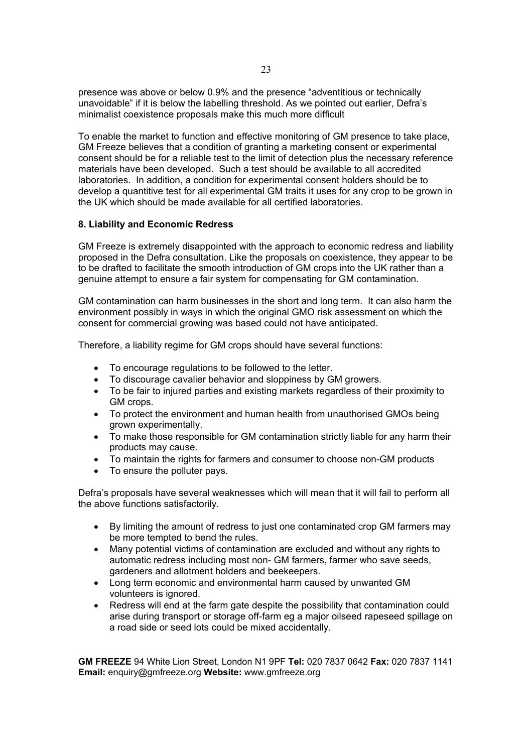presence was above or below 0.9% and the presence "adventitious or technically unavoidable" if it is below the labelling threshold. As we pointed out earlier, Defra's minimalist coexistence proposals make this much more difficult

To enable the market to function and effective monitoring of GM presence to take place, GM Freeze believes that a condition of granting a marketing consent or experimental consent should be for a reliable test to the limit of detection plus the necessary reference materials have been developed. Such a test should be available to all accredited laboratories. In addition, a condition for experimental consent holders should be to develop a quantitive test for all experimental GM traits it uses for any crop to be grown in the UK which should be made available for all certified laboratories.

## **8. Liability and Economic Redress**

GM Freeze is extremely disappointed with the approach to economic redress and liability proposed in the Defra consultation. Like the proposals on coexistence, they appear to be to be drafted to facilitate the smooth introduction of GM crops into the UK rather than a genuine attempt to ensure a fair system for compensating for GM contamination.

GM contamination can harm businesses in the short and long term. It can also harm the environment possibly in ways in which the original GMO risk assessment on which the consent for commercial growing was based could not have anticipated.

Therefore, a liability regime for GM crops should have several functions:

- To encourage regulations to be followed to the letter.
- To discourage cavalier behavior and sloppiness by GM growers.
- To be fair to injured parties and existing markets regardless of their proximity to GM crops.
- To protect the environment and human health from unauthorised GMOs being grown experimentally.
- To make those responsible for GM contamination strictly liable for any harm their products may cause.
- To maintain the rights for farmers and consumer to choose non-GM products
- To ensure the polluter pays.

Defra's proposals have several weaknesses which will mean that it will fail to perform all the above functions satisfactorily.

- By limiting the amount of redress to just one contaminated crop GM farmers may be more tempted to bend the rules.
- Many potential victims of contamination are excluded and without any rights to automatic redress including most non- GM farmers, farmer who save seeds, gardeners and allotment holders and beekeepers.
- Long term economic and environmental harm caused by unwanted GM volunteers is ignored.
- Redress will end at the farm gate despite the possibility that contamination could arise during transport or storage off-farm eg a major oilseed rapeseed spillage on a road side or seed lots could be mixed accidentally.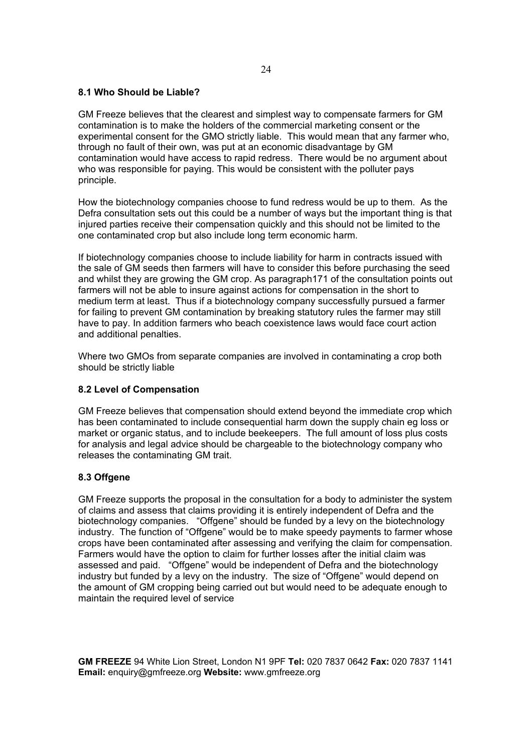## **8.1 Who Should be Liable?**

GM Freeze believes that the clearest and simplest way to compensate farmers for GM contamination is to make the holders of the commercial marketing consent or the experimental consent for the GMO strictly liable. This would mean that any farmer who, through no fault of their own, was put at an economic disadvantage by GM contamination would have access to rapid redress. There would be no argument about who was responsible for paying. This would be consistent with the polluter pays principle.

How the biotechnology companies choose to fund redress would be up to them. As the Defra consultation sets out this could be a number of ways but the important thing is that injured parties receive their compensation quickly and this should not be limited to the one contaminated crop but also include long term economic harm.

If biotechnology companies choose to include liability for harm in contracts issued with the sale of GM seeds then farmers will have to consider this before purchasing the seed and whilst they are growing the GM crop. As paragraph171 of the consultation points out farmers will not be able to insure against actions for compensation in the short to medium term at least. Thus if a biotechnology company successfully pursued a farmer for failing to prevent GM contamination by breaking statutory rules the farmer may still have to pay. In addition farmers who beach coexistence laws would face court action and additional penalties.

Where two GMOs from separate companies are involved in contaminating a crop both should be strictly liable

## **8.2 Level of Compensation**

GM Freeze believes that compensation should extend beyond the immediate crop which has been contaminated to include consequential harm down the supply chain eg loss or market or organic status, and to include beekeepers. The full amount of loss plus costs for analysis and legal advice should be chargeable to the biotechnology company who releases the contaminating GM trait.

## **8.3 Offgene**

GM Freeze supports the proposal in the consultation for a body to administer the system of claims and assess that claims providing it is entirely independent of Defra and the biotechnology companies. "Offgene" should be funded by a levy on the biotechnology industry. The function of "Offgene" would be to make speedy payments to farmer whose crops have been contaminated after assessing and verifying the claim for compensation. Farmers would have the option to claim for further losses after the initial claim was assessed and paid. "Offgene" would be independent of Defra and the biotechnology industry but funded by a levy on the industry. The size of "Offgene" would depend on the amount of GM cropping being carried out but would need to be adequate enough to maintain the required level of service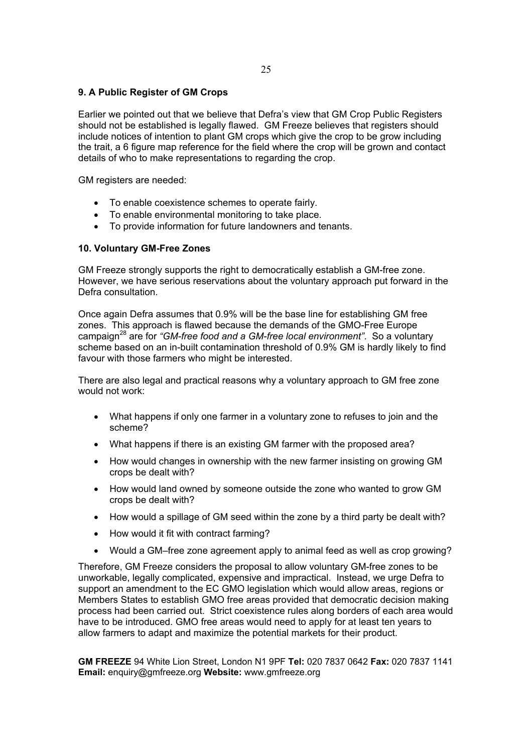## **9. A Public Register of GM Crops**

Earlier we pointed out that we believe that Defra's view that GM Crop Public Registers should not be established is legally flawed. GM Freeze believes that registers should include notices of intention to plant GM crops which give the crop to be grow including the trait, a 6 figure map reference for the field where the crop will be grown and contact details of who to make representations to regarding the crop.

GM registers are needed:

- To enable coexistence schemes to operate fairly.
- To enable environmental monitoring to take place.
- To provide information for future landowners and tenants.

## **10. Voluntary GM-Free Zones**

GM Freeze strongly supports the right to democratically establish a GM-free zone. However, we have serious reservations about the voluntary approach put forward in the Defra consultation.

Once again Defra assumes that 0.9% will be the base line for establishing GM free zones. This approach is flawed because the demands of the GMO-Free Europe campaign28 are for *"GM-free food and a GM-free local environment"*. So a voluntary scheme based on an in-built contamination threshold of 0.9% GM is hardly likely to find favour with those farmers who might be interested.

There are also legal and practical reasons why a voluntary approach to GM free zone would not work:

- What happens if only one farmer in a voluntary zone to refuses to join and the scheme?
- What happens if there is an existing GM farmer with the proposed area?
- How would changes in ownership with the new farmer insisting on growing GM crops be dealt with?
- How would land owned by someone outside the zone who wanted to grow GM crops be dealt with?
- How would a spillage of GM seed within the zone by a third party be dealt with?
- How would it fit with contract farming?
- Would a GM–free zone agreement apply to animal feed as well as crop growing?

Therefore, GM Freeze considers the proposal to allow voluntary GM-free zones to be unworkable, legally complicated, expensive and impractical. Instead, we urge Defra to support an amendment to the EC GMO legislation which would allow areas, regions or Members States to establish GMO free areas provided that democratic decision making process had been carried out. Strict coexistence rules along borders of each area would have to be introduced. GMO free areas would need to apply for at least ten years to allow farmers to adapt and maximize the potential markets for their product.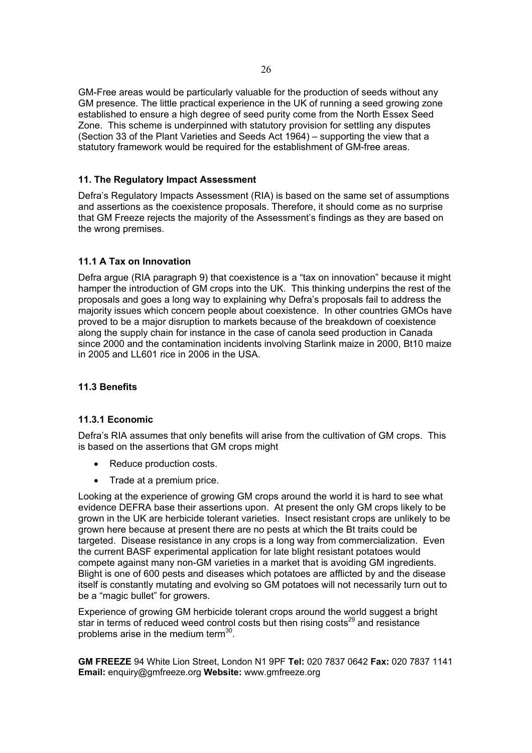GM-Free areas would be particularly valuable for the production of seeds without any GM presence. The little practical experience in the UK of running a seed growing zone established to ensure a high degree of seed purity come from the North Essex Seed Zone. This scheme is underpinned with statutory provision for settling any disputes (Section 33 of the Plant Varieties and Seeds Act 1964) – supporting the view that a statutory framework would be required for the establishment of GM-free areas.

## **11. The Regulatory Impact Assessment**

Defra's Regulatory Impacts Assessment (RIA) is based on the same set of assumptions and assertions as the coexistence proposals. Therefore, it should come as no surprise that GM Freeze rejects the majority of the Assessment's findings as they are based on the wrong premises.

# **11.1 A Tax on Innovation**

Defra argue (RIA paragraph 9) that coexistence is a "tax on innovation" because it might hamper the introduction of GM crops into the UK. This thinking underpins the rest of the proposals and goes a long way to explaining why Defra's proposals fail to address the majority issues which concern people about coexistence. In other countries GMOs have proved to be a major disruption to markets because of the breakdown of coexistence along the supply chain for instance in the case of canola seed production in Canada since 2000 and the contamination incidents involving Starlink maize in 2000, Bt10 maize in 2005 and LL601 rice in 2006 in the USA.

## **11.3 Benefits**

## **11.3.1 Economic**

Defra's RIA assumes that only benefits will arise from the cultivation of GM crops. This is based on the assertions that GM crops might

- Reduce production costs.
- Trade at a premium price.

Looking at the experience of growing GM crops around the world it is hard to see what evidence DEFRA base their assertions upon. At present the only GM crops likely to be grown in the UK are herbicide tolerant varieties. Insect resistant crops are unlikely to be grown here because at present there are no pests at which the Bt traits could be targeted. Disease resistance in any crops is a long way from commercialization. Even the current BASF experimental application for late blight resistant potatoes would compete against many non-GM varieties in a market that is avoiding GM ingredients. Blight is one of 600 pests and diseases which potatoes are afflicted by and the disease itself is constantly mutating and evolving so GM potatoes will not necessarily turn out to be a "magic bullet" for growers.

Experience of growing GM herbicide tolerant crops around the world suggest a bright star in terms of reduced weed control costs but then rising costs<sup>29</sup> and resistance problems arise in the medium term<sup>30</sup>.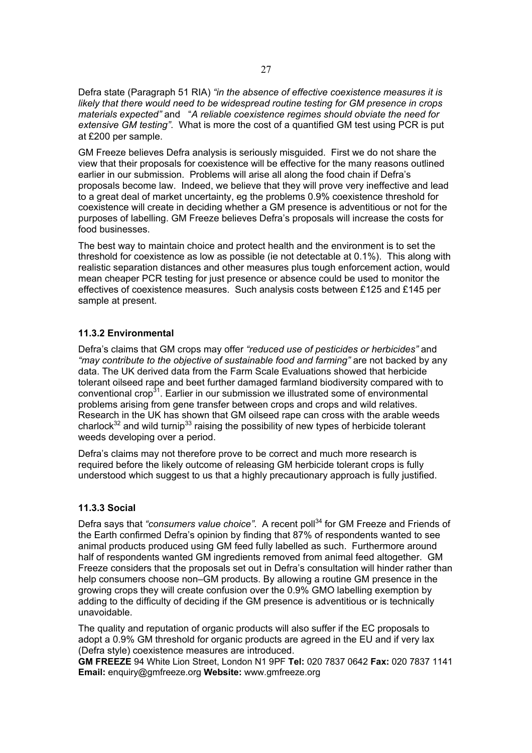Defra state (Paragraph 51 RIA) *"in the absence of effective coexistence measures it is likely that there would need to be widespread routine testing for GM presence in crops materials expected"* and "*A reliable coexistence regimes should obviate the need for extensive GM testing"*. What is more the cost of a quantified GM test using PCR is put at £200 per sample.

GM Freeze believes Defra analysis is seriously misguided. First we do not share the view that their proposals for coexistence will be effective for the many reasons outlined earlier in our submission. Problems will arise all along the food chain if Defra's proposals become law. Indeed, we believe that they will prove very ineffective and lead to a great deal of market uncertainty, eg the problems 0.9% coexistence threshold for coexistence will create in deciding whether a GM presence is adventitious or not for the purposes of labelling. GM Freeze believes Defra's proposals will increase the costs for food businesses.

The best way to maintain choice and protect health and the environment is to set the threshold for coexistence as low as possible (ie not detectable at 0.1%). This along with realistic separation distances and other measures plus tough enforcement action, would mean cheaper PCR testing for just presence or absence could be used to monitor the effectives of coexistence measures. Such analysis costs between £125 and £145 per sample at present.

## **11.3.2 Environmental**

Defra's claims that GM crops may offer *"reduced use of pesticides or herbicides"* and *"may contribute to the objective of sustainable food and farming"* are not backed by any data. The UK derived data from the Farm Scale Evaluations showed that herbicide tolerant oilseed rape and beet further damaged farmland biodiversity compared with to conventional crop<sup>31</sup>. Earlier in our submission we illustrated some of environmental problems arising from gene transfer between crops and crops and wild relatives. Research in the UK has shown that GM oilseed rape can cross with the arable weeds charlock<sup>32</sup> and wild turnip<sup>33</sup> raising the possibility of new types of herbicide tolerant weeds developing over a period.

Defra's claims may not therefore prove to be correct and much more research is required before the likely outcome of releasing GM herbicide tolerant crops is fully understood which suggest to us that a highly precautionary approach is fully justified.

## **11.3.3 Social**

Defra says that *"consumers value choice"*. A recent poll<sup>34</sup> for GM Freeze and Friends of the Earth confirmed Defra's opinion by finding that 87% of respondents wanted to see animal products produced using GM feed fully labelled as such. Furthermore around half of respondents wanted GM ingredients removed from animal feed altogether. GM Freeze considers that the proposals set out in Defra's consultation will hinder rather than help consumers choose non–GM products. By allowing a routine GM presence in the growing crops they will create confusion over the 0.9% GMO labelling exemption by adding to the difficulty of deciding if the GM presence is adventitious or is technically unavoidable.

The quality and reputation of organic products will also suffer if the EC proposals to adopt a 0.9% GM threshold for organic products are agreed in the EU and if very lax (Defra style) coexistence measures are introduced.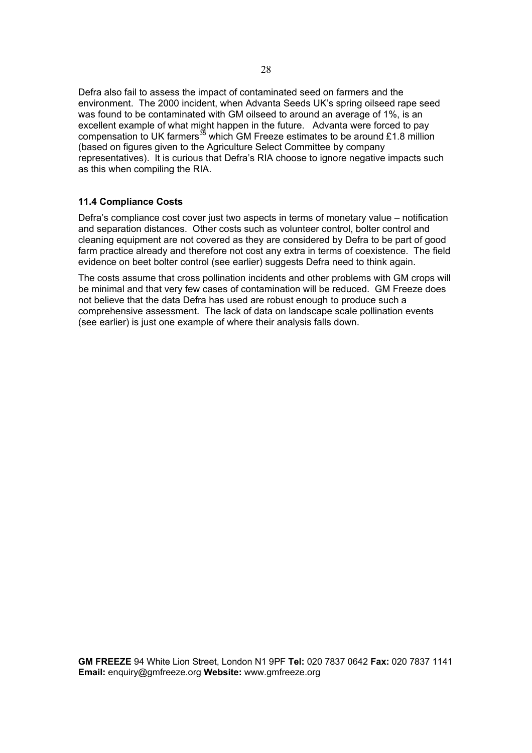Defra also fail to assess the impact of contaminated seed on farmers and the environment. The 2000 incident, when Advanta Seeds UK's spring oilseed rape seed was found to be contaminated with GM oilseed to around an average of 1%, is an excellent example of what might happen in the future. Advanta were forced to pay compensation to UK farmers<sup>35</sup> which GM Freeze estimates to be around £1.8 million (based on figures given to the Agriculture Select Committee by company representatives). It is curious that Defra's RIA choose to ignore negative impacts such as this when compiling the RIA.

## **11.4 Compliance Costs**

Defra's compliance cost cover just two aspects in terms of monetary value – notification and separation distances. Other costs such as volunteer control, bolter control and cleaning equipment are not covered as they are considered by Defra to be part of good farm practice already and therefore not cost any extra in terms of coexistence. The field evidence on beet bolter control (see earlier) suggests Defra need to think again.

The costs assume that cross pollination incidents and other problems with GM crops will be minimal and that very few cases of contamination will be reduced. GM Freeze does not believe that the data Defra has used are robust enough to produce such a comprehensive assessment. The lack of data on landscape scale pollination events (see earlier) is just one example of where their analysis falls down.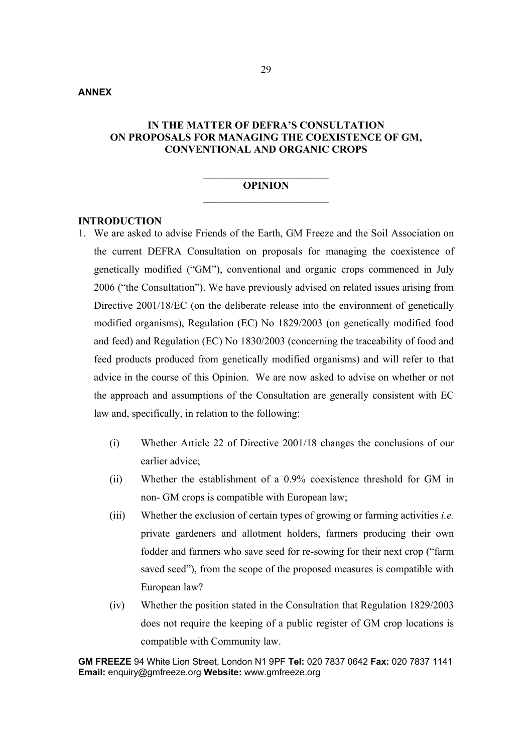## **ANNEX**

# **IN THE MATTER OF DEFRA'S CONSULTATION ON PROPOSALS FOR MANAGING THE COEXISTENCE OF GM, CONVENTIONAL AND ORGANIC CROPS**

## $\overline{\phantom{a}}$  , where  $\overline{\phantom{a}}$  , where  $\overline{\phantom{a}}$  , where  $\overline{\phantom{a}}$ **OPINION**  $\mathcal{L}_\text{max}$

### **INTRODUCTION**

- 1. We are asked to advise Friends of the Earth, GM Freeze and the Soil Association on the current DEFRA Consultation on proposals for managing the coexistence of genetically modified ("GM"), conventional and organic crops commenced in July 2006 ("the Consultation"). We have previously advised on related issues arising from Directive 2001/18/EC (on the deliberate release into the environment of genetically modified organisms), Regulation (EC) No 1829/2003 (on genetically modified food and feed) and Regulation (EC) No 1830/2003 (concerning the traceability of food and feed products produced from genetically modified organisms) and will refer to that advice in the course of this Opinion. We are now asked to advise on whether or not the approach and assumptions of the Consultation are generally consistent with EC law and, specifically, in relation to the following:
	- (i) Whether Article 22 of Directive 2001/18 changes the conclusions of our earlier advice;
	- (ii) Whether the establishment of a 0.9% coexistence threshold for GM in non- GM crops is compatible with European law;
	- (iii) Whether the exclusion of certain types of growing or farming activities *i.e.* private gardeners and allotment holders, farmers producing their own fodder and farmers who save seed for re-sowing for their next crop ("farm saved seed"), from the scope of the proposed measures is compatible with European law?
	- (iv) Whether the position stated in the Consultation that Regulation 1829/2003 does not require the keeping of a public register of GM crop locations is compatible with Community law.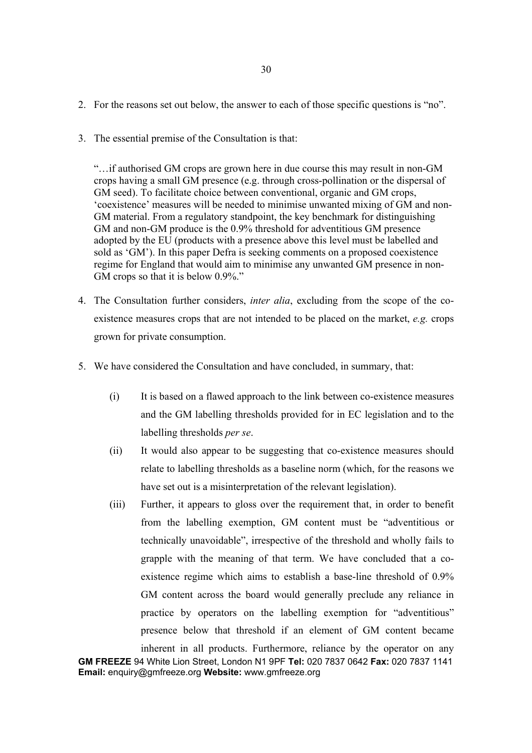- 2. For the reasons set out below, the answer to each of those specific questions is "no".
- 3. The essential premise of the Consultation is that:

"…if authorised GM crops are grown here in due course this may result in non-GM crops having a small GM presence (e.g. through cross-pollination or the dispersal of GM seed). To facilitate choice between conventional, organic and GM crops, 'coexistence' measures will be needed to minimise unwanted mixing of GM and non-GM material. From a regulatory standpoint, the key benchmark for distinguishing GM and non-GM produce is the 0.9% threshold for adventitious GM presence adopted by the EU (products with a presence above this level must be labelled and sold as 'GM'). In this paper Defra is seeking comments on a proposed coexistence regime for England that would aim to minimise any unwanted GM presence in non-GM crops so that it is below 0.9%."

- 4. The Consultation further considers, *inter alia*, excluding from the scope of the coexistence measures crops that are not intended to be placed on the market, *e.g.* crops grown for private consumption.
- 5. We have considered the Consultation and have concluded, in summary, that:
	- (i) It is based on a flawed approach to the link between co-existence measures and the GM labelling thresholds provided for in EC legislation and to the labelling thresholds *per se*.
	- (ii) It would also appear to be suggesting that co-existence measures should relate to labelling thresholds as a baseline norm (which, for the reasons we have set out is a misinterpretation of the relevant legislation).
	- (iii) Further, it appears to gloss over the requirement that, in order to benefit from the labelling exemption, GM content must be "adventitious or technically unavoidable", irrespective of the threshold and wholly fails to grapple with the meaning of that term. We have concluded that a coexistence regime which aims to establish a base-line threshold of 0.9% GM content across the board would generally preclude any reliance in practice by operators on the labelling exemption for "adventitious" presence below that threshold if an element of GM content became

**GM FREEZE** 94 White Lion Street, London N1 9PF **Tel:** 020 7837 0642 **Fax:** 020 7837 1141 **Email:** enquiry@gmfreeze.org **Website:** www.gmfreeze.org inherent in all products. Furthermore, reliance by the operator on any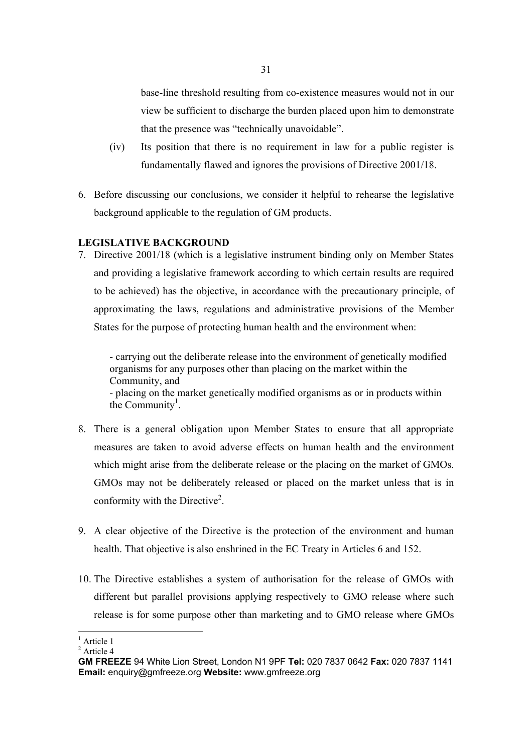base-line threshold resulting from co-existence measures would not in our view be sufficient to discharge the burden placed upon him to demonstrate that the presence was "technically unavoidable".

- (iv) Its position that there is no requirement in law for a public register is fundamentally flawed and ignores the provisions of Directive 2001/18.
- 6. Before discussing our conclusions, we consider it helpful to rehearse the legislative background applicable to the regulation of GM products.

# **LEGISLATIVE BACKGROUND**

7. Directive 2001/18 (which is a legislative instrument binding only on Member States and providing a legislative framework according to which certain results are required to be achieved) has the objective, in accordance with the precautionary principle, of approximating the laws, regulations and administrative provisions of the Member States for the purpose of protecting human health and the environment when:

- carrying out the deliberate release into the environment of genetically modified organisms for any purposes other than placing on the market within the Community, and - placing on the market genetically modified organisms as or in products within the Community<sup>1</sup>.

- 8. There is a general obligation upon Member States to ensure that all appropriate measures are taken to avoid adverse effects on human health and the environment which might arise from the deliberate release or the placing on the market of GMOs. GMOs may not be deliberately released or placed on the market unless that is in conformity with the Directive<sup>2</sup>.
- 9. A clear objective of the Directive is the protection of the environment and human health. That objective is also enshrined in the EC Treaty in Articles 6 and 152.
- 10. The Directive establishes a system of authorisation for the release of GMOs with different but parallel provisions applying respectively to GMO release where such release is for some purpose other than marketing and to GMO release where GMOs

<sup>&</sup>lt;sup>1</sup> Article 1

<sup>2</sup> Article 4

**GM FREEZE** 94 White Lion Street, London N1 9PF **Tel:** 020 7837 0642 **Fax:** 020 7837 1141 **Email:** enquiry@gmfreeze.org **Website:** www.gmfreeze.org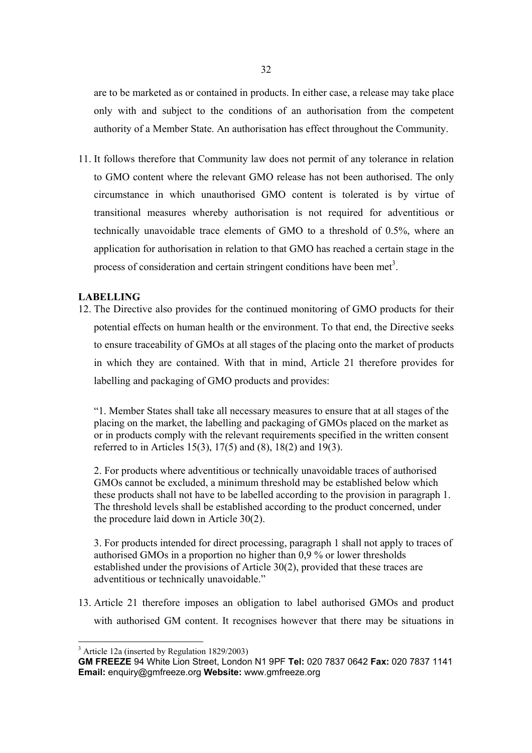are to be marketed as or contained in products. In either case, a release may take place only with and subject to the conditions of an authorisation from the competent authority of a Member State. An authorisation has effect throughout the Community.

11. It follows therefore that Community law does not permit of any tolerance in relation to GMO content where the relevant GMO release has not been authorised. The only circumstance in which unauthorised GMO content is tolerated is by virtue of transitional measures whereby authorisation is not required for adventitious or technically unavoidable trace elements of GMO to a threshold of 0.5%, where an application for authorisation in relation to that GMO has reached a certain stage in the process of consideration and certain stringent conditions have been met<sup>3</sup>.

## **LABELLING**

12. The Directive also provides for the continued monitoring of GMO products for their potential effects on human health or the environment. To that end, the Directive seeks to ensure traceability of GMOs at all stages of the placing onto the market of products in which they are contained. With that in mind, Article 21 therefore provides for labelling and packaging of GMO products and provides:

"1. Member States shall take all necessary measures to ensure that at all stages of the placing on the market, the labelling and packaging of GMOs placed on the market as or in products comply with the relevant requirements specified in the written consent referred to in Articles 15(3), 17(5) and (8), 18(2) and 19(3).

2. For products where adventitious or technically unavoidable traces of authorised GMOs cannot be excluded, a minimum threshold may be established below which these products shall not have to be labelled according to the provision in paragraph 1. The threshold levels shall be established according to the product concerned, under the procedure laid down in Article 30(2).

3. For products intended for direct processing, paragraph 1 shall not apply to traces of authorised GMOs in a proportion no higher than 0,9 % or lower thresholds established under the provisions of Article 30(2), provided that these traces are adventitious or technically unavoidable."

13. Article 21 therefore imposes an obligation to label authorised GMOs and product with authorised GM content. It recognises however that there may be situations in

<sup>&</sup>lt;sup>3</sup> Article 12a (inserted by Regulation 1829/2003)

**GM FREEZE** 94 White Lion Street, London N1 9PF **Tel:** 020 7837 0642 **Fax:** 020 7837 1141 **Email:** enquiry@gmfreeze.org **Website:** www.gmfreeze.org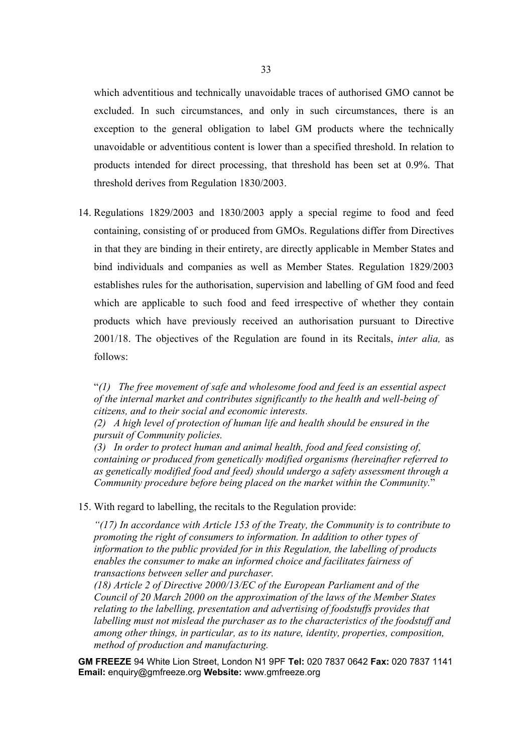which adventitious and technically unavoidable traces of authorised GMO cannot be excluded. In such circumstances, and only in such circumstances, there is an exception to the general obligation to label GM products where the technically unavoidable or adventitious content is lower than a specified threshold. In relation to products intended for direct processing, that threshold has been set at 0.9%. That threshold derives from Regulation 1830/2003.

14. Regulations 1829/2003 and 1830/2003 apply a special regime to food and feed containing, consisting of or produced from GMOs. Regulations differ from Directives in that they are binding in their entirety, are directly applicable in Member States and bind individuals and companies as well as Member States. Regulation 1829/2003 establishes rules for the authorisation, supervision and labelling of GM food and feed which are applicable to such food and feed irrespective of whether they contain products which have previously received an authorisation pursuant to Directive 2001/18. The objectives of the Regulation are found in its Recitals, *inter alia,* as follows:

"*(1) The free movement of safe and wholesome food and feed is an essential aspect of the internal market and contributes significantly to the health and well-being of citizens, and to their social and economic interests.* 

*(2) A high level of protection of human life and health should be ensured in the pursuit of Community policies.* 

*(3) In order to protect human and animal health, food and feed consisting of, containing or produced from genetically modified organisms (hereinafter referred to as genetically modified food and feed) should undergo a safety assessment through a Community procedure before being placed on the market within the Community.*"

15. With regard to labelling, the recitals to the Regulation provide:

*"(17) In accordance with Article 153 of the Treaty, the Community is to contribute to promoting the right of consumers to information. In addition to other types of information to the public provided for in this Regulation, the labelling of products enables the consumer to make an informed choice and facilitates fairness of transactions between seller and purchaser.* 

*(18) Article 2 of Directive 2000/13/EC of the European Parliament and of the Council of 20 March 2000 on the approximation of the laws of the Member States relating to the labelling, presentation and advertising of foodstuffs provides that labelling must not mislead the purchaser as to the characteristics of the foodstuff and among other things, in particular, as to its nature, identity, properties, composition, method of production and manufacturing.*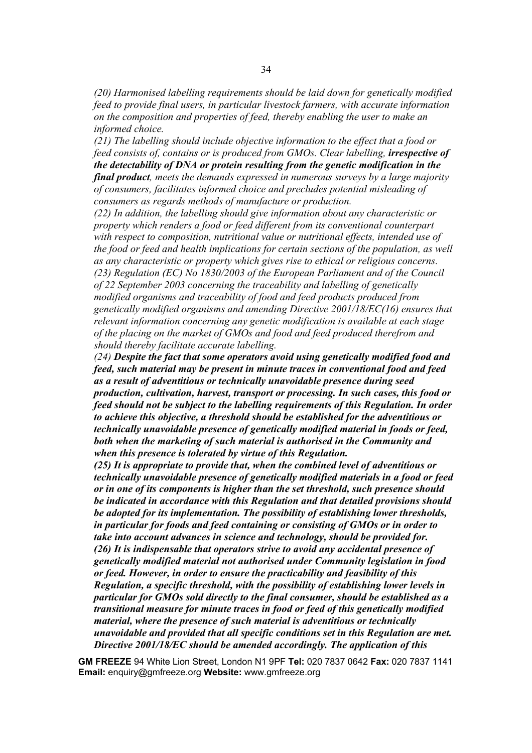*(20) Harmonised labelling requirements should be laid down for genetically modified feed to provide final users, in particular livestock farmers, with accurate information on the composition and properties of feed, thereby enabling the user to make an informed choice.* 

*(21) The labelling should include objective information to the effect that a food or feed consists of, contains or is produced from GMOs. Clear labelling. <i>irrespective of the detectability of DNA or protein resulting from the genetic modification in the final product, meets the demands expressed in numerous surveys by a large majority of consumers, facilitates informed choice and precludes potential misleading of consumers as regards methods of manufacture or production.* 

*(22) In addition, the labelling should give information about any characteristic or property which renders a food or feed different from its conventional counterpart with respect to composition, nutritional value or nutritional effects, intended use of the food or feed and health implications for certain sections of the population, as well as any characteristic or property which gives rise to ethical or religious concerns. (23) Regulation (EC) No 1830/2003 of the European Parliament and of the Council of 22 September 2003 concerning the traceability and labelling of genetically modified organisms and traceability of food and feed products produced from genetically modified organisms and amending Directive 2001/18/EC(16) ensures that relevant information concerning any genetic modification is available at each stage of the placing on the market of GMOs and food and feed produced therefrom and should thereby facilitate accurate labelling.* 

*(24) Despite the fact that some operators avoid using genetically modified food and feed, such material may be present in minute traces in conventional food and feed as a result of adventitious or technically unavoidable presence during seed production, cultivation, harvest, transport or processing. In such cases, this food or feed should not be subject to the labelling requirements of this Regulation. In order to achieve this objective, a threshold should be established for the adventitious or technically unavoidable presence of genetically modified material in foods or feed, both when the marketing of such material is authorised in the Community and when this presence is tolerated by virtue of this Regulation.*

*(25) It is appropriate to provide that, when the combined level of adventitious or technically unavoidable presence of genetically modified materials in a food or feed or in one of its components is higher than the set threshold, such presence should be indicated in accordance with this Regulation and that detailed provisions should be adopted for its implementation. The possibility of establishing lower thresholds, in particular for foods and feed containing or consisting of GMOs or in order to take into account advances in science and technology, should be provided for. (26) It is indispensable that operators strive to avoid any accidental presence of genetically modified material not authorised under Community legislation in food or feed. However, in order to ensure the practicability and feasibility of this Regulation, a specific threshold, with the possibility of establishing lower levels in particular for GMOs sold directly to the final consumer, should be established as a transitional measure for minute traces in food or feed of this genetically modified material, where the presence of such material is adventitious or technically unavoidable and provided that all specific conditions set in this Regulation are met. Directive 2001/18/EC should be amended accordingly. The application of this*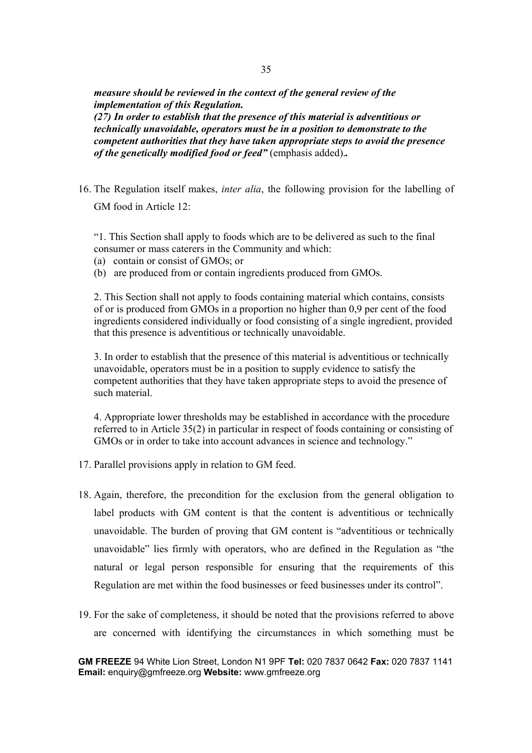*measure should be reviewed in the context of the general review of the implementation of this Regulation. (27) In order to establish that the presence of this material is adventitious or technically unavoidable, operators must be in a position to demonstrate to the competent authorities that they have taken appropriate steps to avoid the presence of the genetically modified food or feed"* (emphasis added).*.* 

16. The Regulation itself makes, *inter alia*, the following provision for the labelling of GM food in Article 12:

"1. This Section shall apply to foods which are to be delivered as such to the final consumer or mass caterers in the Community and which:

(a) contain or consist of GMOs; or

(b) are produced from or contain ingredients produced from GMOs.

2. This Section shall not apply to foods containing material which contains, consists of or is produced from GMOs in a proportion no higher than 0,9 per cent of the food ingredients considered individually or food consisting of a single ingredient, provided that this presence is adventitious or technically unavoidable.

3. In order to establish that the presence of this material is adventitious or technically unavoidable, operators must be in a position to supply evidence to satisfy the competent authorities that they have taken appropriate steps to avoid the presence of such material.

4. Appropriate lower thresholds may be established in accordance with the procedure referred to in Article 35(2) in particular in respect of foods containing or consisting of GMOs or in order to take into account advances in science and technology."

- 17. Parallel provisions apply in relation to GM feed.
- 18. Again, therefore, the precondition for the exclusion from the general obligation to label products with GM content is that the content is adventitious or technically unavoidable. The burden of proving that GM content is "adventitious or technically unavoidable" lies firmly with operators, who are defined in the Regulation as "the natural or legal person responsible for ensuring that the requirements of this Regulation are met within the food businesses or feed businesses under its control".
- 19. For the sake of completeness, it should be noted that the provisions referred to above are concerned with identifying the circumstances in which something must be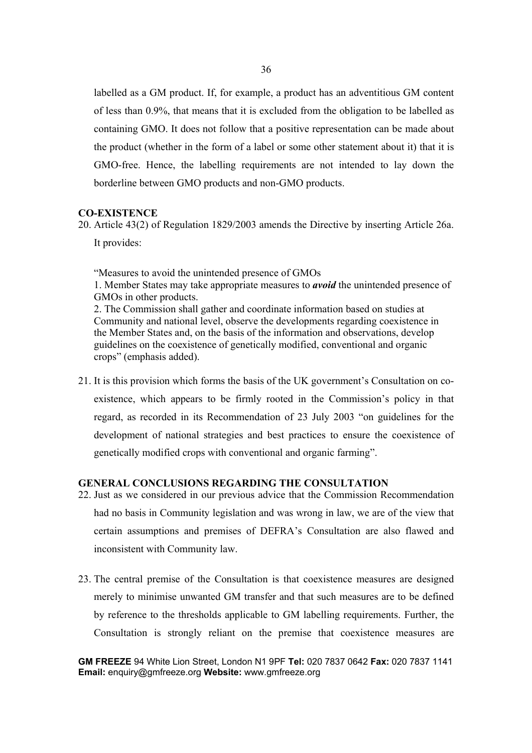labelled as a GM product. If, for example, a product has an adventitious GM content of less than 0.9%, that means that it is excluded from the obligation to be labelled as containing GMO. It does not follow that a positive representation can be made about the product (whether in the form of a label or some other statement about it) that it is GMO-free. Hence, the labelling requirements are not intended to lay down the borderline between GMO products and non-GMO products.

## **CO-EXISTENCE**

20. Article 43(2) of Regulation 1829/2003 amends the Directive by inserting Article 26a. It provides:

"Measures to avoid the unintended presence of GMOs

1. Member States may take appropriate measures to *avoid* the unintended presence of GMOs in other products.

2. The Commission shall gather and coordinate information based on studies at Community and national level, observe the developments regarding coexistence in the Member States and, on the basis of the information and observations, develop guidelines on the coexistence of genetically modified, conventional and organic crops" (emphasis added).

21. It is this provision which forms the basis of the UK government's Consultation on coexistence, which appears to be firmly rooted in the Commission's policy in that regard, as recorded in its Recommendation of 23 July 2003 "on guidelines for the development of national strategies and best practices to ensure the coexistence of genetically modified crops with conventional and organic farming".

## **GENERAL CONCLUSIONS REGARDING THE CONSULTATION**

- 22. Just as we considered in our previous advice that the Commission Recommendation had no basis in Community legislation and was wrong in law, we are of the view that certain assumptions and premises of DEFRA's Consultation are also flawed and inconsistent with Community law.
- 23. The central premise of the Consultation is that coexistence measures are designed merely to minimise unwanted GM transfer and that such measures are to be defined by reference to the thresholds applicable to GM labelling requirements. Further, the Consultation is strongly reliant on the premise that coexistence measures are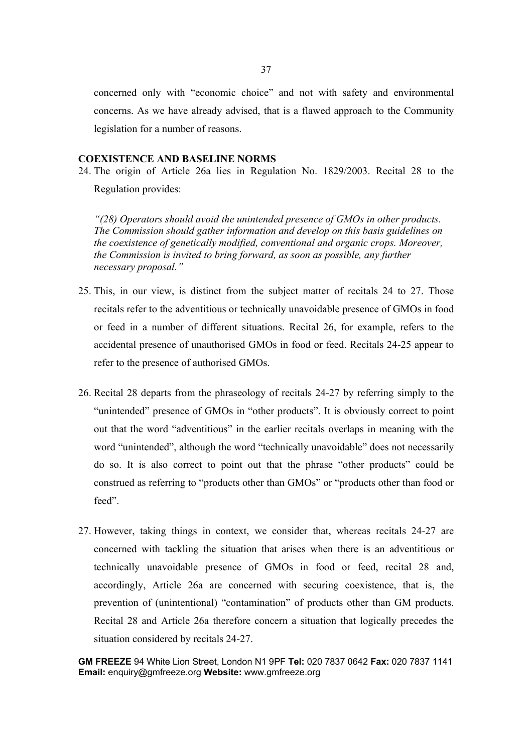concerned only with "economic choice" and not with safety and environmental concerns. As we have already advised, that is a flawed approach to the Community legislation for a number of reasons.

### **COEXISTENCE AND BASELINE NORMS**

24. The origin of Article 26a lies in Regulation No. 1829/2003. Recital 28 to the Regulation provides:

*"(28) Operators should avoid the unintended presence of GMOs in other products. The Commission should gather information and develop on this basis guidelines on the coexistence of genetically modified, conventional and organic crops. Moreover, the Commission is invited to bring forward, as soon as possible, any further necessary proposal."* 

- 25. This, in our view, is distinct from the subject matter of recitals 24 to 27. Those recitals refer to the adventitious or technically unavoidable presence of GMOs in food or feed in a number of different situations. Recital 26, for example, refers to the accidental presence of unauthorised GMOs in food or feed. Recitals 24-25 appear to refer to the presence of authorised GMOs.
- 26. Recital 28 departs from the phraseology of recitals 24-27 by referring simply to the "unintended" presence of GMOs in "other products". It is obviously correct to point out that the word "adventitious" in the earlier recitals overlaps in meaning with the word "unintended", although the word "technically unavoidable" does not necessarily do so. It is also correct to point out that the phrase "other products" could be construed as referring to "products other than GMOs" or "products other than food or feed".
- 27. However, taking things in context, we consider that, whereas recitals 24-27 are concerned with tackling the situation that arises when there is an adventitious or technically unavoidable presence of GMOs in food or feed, recital 28 and, accordingly, Article 26a are concerned with securing coexistence, that is, the prevention of (unintentional) "contamination" of products other than GM products. Recital 28 and Article 26a therefore concern a situation that logically precedes the situation considered by recitals 24-27.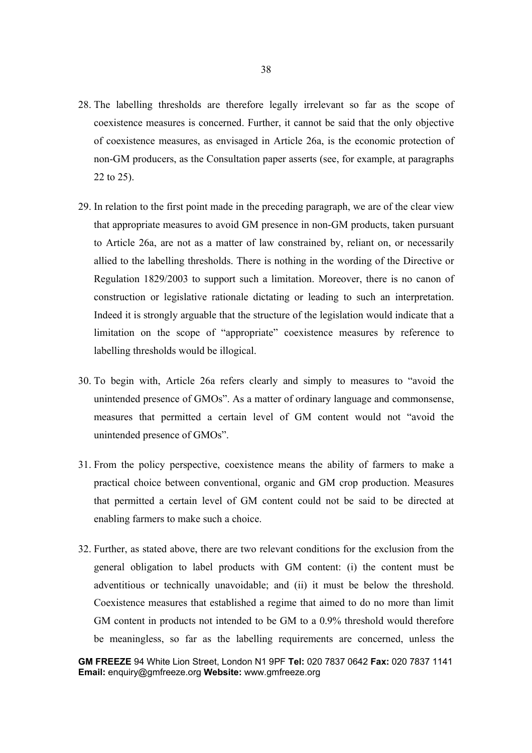- 28. The labelling thresholds are therefore legally irrelevant so far as the scope of coexistence measures is concerned. Further, it cannot be said that the only objective of coexistence measures, as envisaged in Article 26a, is the economic protection of non-GM producers, as the Consultation paper asserts (see, for example, at paragraphs 22 to 25).
- 29. In relation to the first point made in the preceding paragraph, we are of the clear view that appropriate measures to avoid GM presence in non-GM products, taken pursuant to Article 26a, are not as a matter of law constrained by, reliant on, or necessarily allied to the labelling thresholds. There is nothing in the wording of the Directive or Regulation 1829/2003 to support such a limitation. Moreover, there is no canon of construction or legislative rationale dictating or leading to such an interpretation. Indeed it is strongly arguable that the structure of the legislation would indicate that a limitation on the scope of "appropriate" coexistence measures by reference to labelling thresholds would be illogical.
- 30. To begin with, Article 26a refers clearly and simply to measures to "avoid the unintended presence of GMOs". As a matter of ordinary language and commonsense, measures that permitted a certain level of GM content would not "avoid the unintended presence of GMOs".
- 31. From the policy perspective, coexistence means the ability of farmers to make a practical choice between conventional, organic and GM crop production. Measures that permitted a certain level of GM content could not be said to be directed at enabling farmers to make such a choice.
- 32. Further, as stated above, there are two relevant conditions for the exclusion from the general obligation to label products with GM content: (i) the content must be adventitious or technically unavoidable; and (ii) it must be below the threshold. Coexistence measures that established a regime that aimed to do no more than limit GM content in products not intended to be GM to a 0.9% threshold would therefore be meaningless, so far as the labelling requirements are concerned, unless the

**GM FREEZE** 94 White Lion Street, London N1 9PF **Tel:** 020 7837 0642 **Fax:** 020 7837 1141 **Email:** enquiry@gmfreeze.org **Website:** www.gmfreeze.org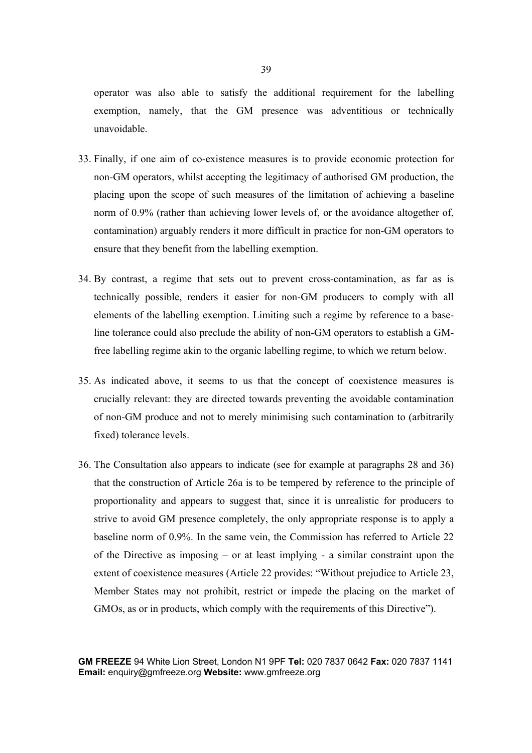operator was also able to satisfy the additional requirement for the labelling exemption, namely, that the GM presence was adventitious or technically unavoidable.

- 33. Finally, if one aim of co-existence measures is to provide economic protection for non-GM operators, whilst accepting the legitimacy of authorised GM production, the placing upon the scope of such measures of the limitation of achieving a baseline norm of 0.9% (rather than achieving lower levels of, or the avoidance altogether of, contamination) arguably renders it more difficult in practice for non-GM operators to ensure that they benefit from the labelling exemption.
- 34. By contrast, a regime that sets out to prevent cross-contamination, as far as is technically possible, renders it easier for non-GM producers to comply with all elements of the labelling exemption. Limiting such a regime by reference to a baseline tolerance could also preclude the ability of non-GM operators to establish a GMfree labelling regime akin to the organic labelling regime, to which we return below.
- 35. As indicated above, it seems to us that the concept of coexistence measures is crucially relevant: they are directed towards preventing the avoidable contamination of non-GM produce and not to merely minimising such contamination to (arbitrarily fixed) tolerance levels.
- 36. The Consultation also appears to indicate (see for example at paragraphs 28 and 36) that the construction of Article 26a is to be tempered by reference to the principle of proportionality and appears to suggest that, since it is unrealistic for producers to strive to avoid GM presence completely, the only appropriate response is to apply a baseline norm of 0.9%. In the same vein, the Commission has referred to Article 22 of the Directive as imposing – or at least implying - a similar constraint upon the extent of coexistence measures (Article 22 provides: "Without prejudice to Article 23, Member States may not prohibit, restrict or impede the placing on the market of GMOs, as or in products, which comply with the requirements of this Directive").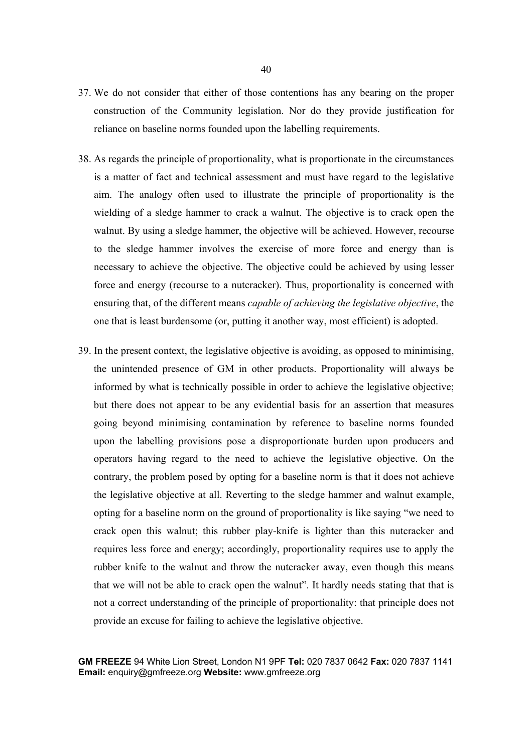- 37. We do not consider that either of those contentions has any bearing on the proper construction of the Community legislation. Nor do they provide justification for reliance on baseline norms founded upon the labelling requirements.
- 38. As regards the principle of proportionality, what is proportionate in the circumstances is a matter of fact and technical assessment and must have regard to the legislative aim. The analogy often used to illustrate the principle of proportionality is the wielding of a sledge hammer to crack a walnut. The objective is to crack open the walnut. By using a sledge hammer, the objective will be achieved. However, recourse to the sledge hammer involves the exercise of more force and energy than is necessary to achieve the objective. The objective could be achieved by using lesser force and energy (recourse to a nutcracker). Thus, proportionality is concerned with ensuring that, of the different means *capable of achieving the legislative objective*, the one that is least burdensome (or, putting it another way, most efficient) is adopted.
- 39. In the present context, the legislative objective is avoiding, as opposed to minimising, the unintended presence of GM in other products. Proportionality will always be informed by what is technically possible in order to achieve the legislative objective; but there does not appear to be any evidential basis for an assertion that measures going beyond minimising contamination by reference to baseline norms founded upon the labelling provisions pose a disproportionate burden upon producers and operators having regard to the need to achieve the legislative objective. On the contrary, the problem posed by opting for a baseline norm is that it does not achieve the legislative objective at all. Reverting to the sledge hammer and walnut example, opting for a baseline norm on the ground of proportionality is like saying "we need to crack open this walnut; this rubber play-knife is lighter than this nutcracker and requires less force and energy; accordingly, proportionality requires use to apply the rubber knife to the walnut and throw the nutcracker away, even though this means that we will not be able to crack open the walnut". It hardly needs stating that that is not a correct understanding of the principle of proportionality: that principle does not provide an excuse for failing to achieve the legislative objective.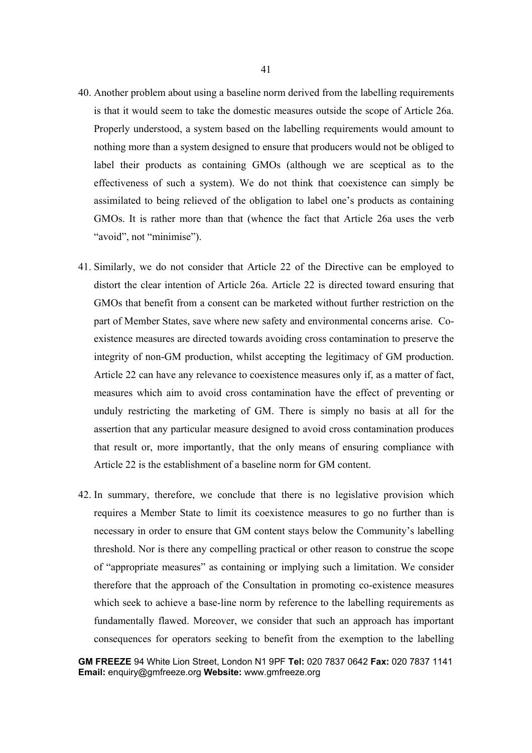- 40. Another problem about using a baseline norm derived from the labelling requirements is that it would seem to take the domestic measures outside the scope of Article 26a. Properly understood, a system based on the labelling requirements would amount to nothing more than a system designed to ensure that producers would not be obliged to label their products as containing GMOs (although we are sceptical as to the effectiveness of such a system). We do not think that coexistence can simply be assimilated to being relieved of the obligation to label one's products as containing GMOs. It is rather more than that (whence the fact that Article 26a uses the verb "avoid", not "minimise").
- 41. Similarly, we do not consider that Article 22 of the Directive can be employed to distort the clear intention of Article 26a. Article 22 is directed toward ensuring that GMOs that benefit from a consent can be marketed without further restriction on the part of Member States, save where new safety and environmental concerns arise. Coexistence measures are directed towards avoiding cross contamination to preserve the integrity of non-GM production, whilst accepting the legitimacy of GM production. Article 22 can have any relevance to coexistence measures only if, as a matter of fact, measures which aim to avoid cross contamination have the effect of preventing or unduly restricting the marketing of GM. There is simply no basis at all for the assertion that any particular measure designed to avoid cross contamination produces that result or, more importantly, that the only means of ensuring compliance with Article 22 is the establishment of a baseline norm for GM content.
- 42. In summary, therefore, we conclude that there is no legislative provision which requires a Member State to limit its coexistence measures to go no further than is necessary in order to ensure that GM content stays below the Community's labelling threshold. Nor is there any compelling practical or other reason to construe the scope of "appropriate measures" as containing or implying such a limitation. We consider therefore that the approach of the Consultation in promoting co-existence measures which seek to achieve a base-line norm by reference to the labelling requirements as fundamentally flawed. Moreover, we consider that such an approach has important consequences for operators seeking to benefit from the exemption to the labelling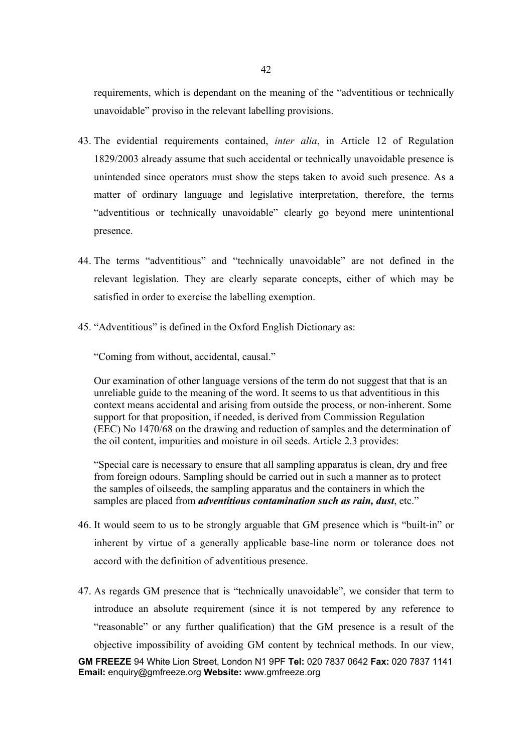requirements, which is dependant on the meaning of the "adventitious or technically unavoidable" proviso in the relevant labelling provisions.

- 43. The evidential requirements contained, *inter alia*, in Article 12 of Regulation 1829/2003 already assume that such accidental or technically unavoidable presence is unintended since operators must show the steps taken to avoid such presence. As a matter of ordinary language and legislative interpretation, therefore, the terms "adventitious or technically unavoidable" clearly go beyond mere unintentional presence.
- 44. The terms "adventitious" and "technically unavoidable" are not defined in the relevant legislation. They are clearly separate concepts, either of which may be satisfied in order to exercise the labelling exemption.
- 45. "Adventitious" is defined in the Oxford English Dictionary as:

"Coming from without, accidental, causal."

Our examination of other language versions of the term do not suggest that that is an unreliable guide to the meaning of the word. It seems to us that adventitious in this context means accidental and arising from outside the process, or non-inherent. Some support for that proposition, if needed, is derived from Commission Regulation (EEC) No 1470/68 on the drawing and reduction of samples and the determination of the oil content, impurities and moisture in oil seeds. Article 2.3 provides:

"Special care is necessary to ensure that all sampling apparatus is clean, dry and free from foreign odours. Sampling should be carried out in such a manner as to protect the samples of oilseeds, the sampling apparatus and the containers in which the samples are placed from *adventitious contamination such as rain, dust*, etc."

- 46. It would seem to us to be strongly arguable that GM presence which is "built-in" or inherent by virtue of a generally applicable base-line norm or tolerance does not accord with the definition of adventitious presence.
- **GM FREEZE** 94 White Lion Street, London N1 9PF **Tel:** 020 7837 0642 **Fax:** 020 7837 1141 **Email:** enquiry@gmfreeze.org **Website:** www.gmfreeze.org 47. As regards GM presence that is "technically unavoidable", we consider that term to introduce an absolute requirement (since it is not tempered by any reference to "reasonable" or any further qualification) that the GM presence is a result of the objective impossibility of avoiding GM content by technical methods. In our view,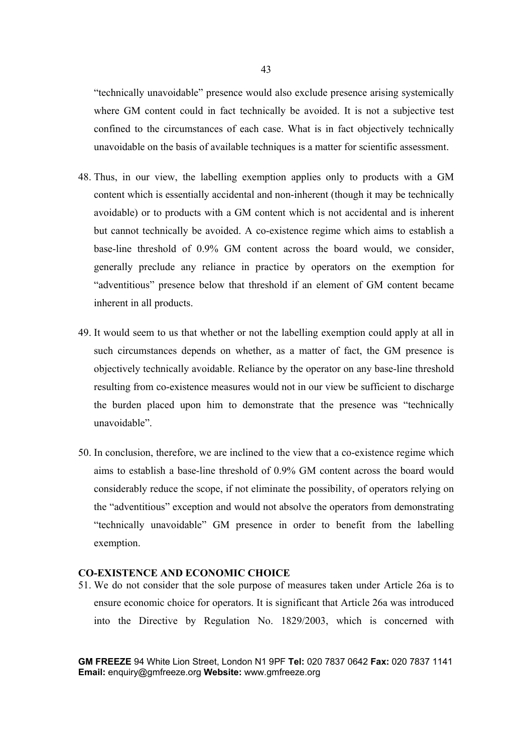"technically unavoidable" presence would also exclude presence arising systemically where GM content could in fact technically be avoided. It is not a subjective test confined to the circumstances of each case. What is in fact objectively technically unavoidable on the basis of available techniques is a matter for scientific assessment.

- 48. Thus, in our view, the labelling exemption applies only to products with a GM content which is essentially accidental and non-inherent (though it may be technically avoidable) or to products with a GM content which is not accidental and is inherent but cannot technically be avoided. A co-existence regime which aims to establish a base-line threshold of 0.9% GM content across the board would, we consider, generally preclude any reliance in practice by operators on the exemption for "adventitious" presence below that threshold if an element of GM content became inherent in all products.
- 49. It would seem to us that whether or not the labelling exemption could apply at all in such circumstances depends on whether, as a matter of fact, the GM presence is objectively technically avoidable. Reliance by the operator on any base-line threshold resulting from co-existence measures would not in our view be sufficient to discharge the burden placed upon him to demonstrate that the presence was "technically unavoidable".
- 50. In conclusion, therefore, we are inclined to the view that a co-existence regime which aims to establish a base-line threshold of 0.9% GM content across the board would considerably reduce the scope, if not eliminate the possibility, of operators relying on the "adventitious" exception and would not absolve the operators from demonstrating "technically unavoidable" GM presence in order to benefit from the labelling exemption.

## **CO-EXISTENCE AND ECONOMIC CHOICE**

51. We do not consider that the sole purpose of measures taken under Article 26a is to ensure economic choice for operators. It is significant that Article 26a was introduced into the Directive by Regulation No. 1829/2003, which is concerned with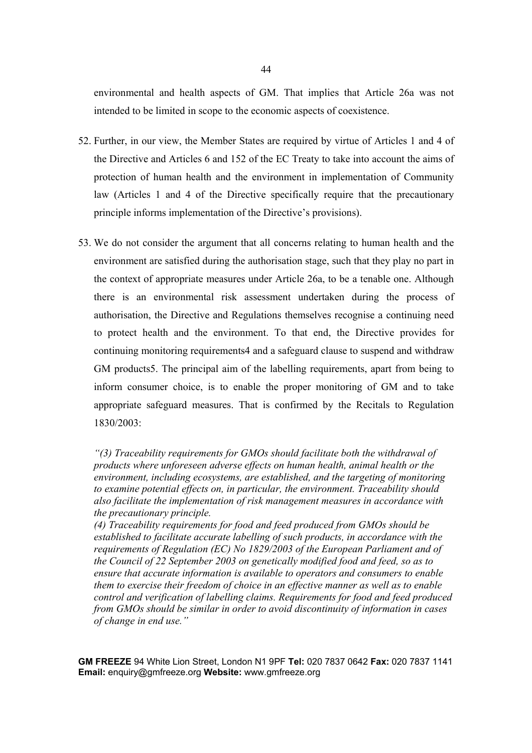environmental and health aspects of GM. That implies that Article 26a was not intended to be limited in scope to the economic aspects of coexistence.

- 52. Further, in our view, the Member States are required by virtue of Articles 1 and 4 of the Directive and Articles 6 and 152 of the EC Treaty to take into account the aims of protection of human health and the environment in implementation of Community law (Articles 1 and 4 of the Directive specifically require that the precautionary principle informs implementation of the Directive's provisions).
- 53. We do not consider the argument that all concerns relating to human health and the environment are satisfied during the authorisation stage, such that they play no part in the context of appropriate measures under Article 26a, to be a tenable one. Although there is an environmental risk assessment undertaken during the process of authorisation, the Directive and Regulations themselves recognise a continuing need to protect health and the environment. To that end, the Directive provides for continuing monitoring requirements4 and a safeguard clause to suspend and withdraw GM products5. The principal aim of the labelling requirements, apart from being to inform consumer choice, is to enable the proper monitoring of GM and to take appropriate safeguard measures. That is confirmed by the Recitals to Regulation 1830/2003:

*(4) Traceability requirements for food and feed produced from GMOs should be established to facilitate accurate labelling of such products, in accordance with the requirements of Regulation (EC) No 1829/2003 of the European Parliament and of the Council of 22 September 2003 on genetically modified food and feed, so as to ensure that accurate information is available to operators and consumers to enable them to exercise their freedom of choice in an effective manner as well as to enable control and verification of labelling claims. Requirements for food and feed produced from GMOs should be similar in order to avoid discontinuity of information in cases of change in end use."*

*<sup>&</sup>quot;(3) Traceability requirements for GMOs should facilitate both the withdrawal of products where unforeseen adverse effects on human health, animal health or the environment, including ecosystems, are established, and the targeting of monitoring to examine potential effects on, in particular, the environment. Traceability should also facilitate the implementation of risk management measures in accordance with the precautionary principle.*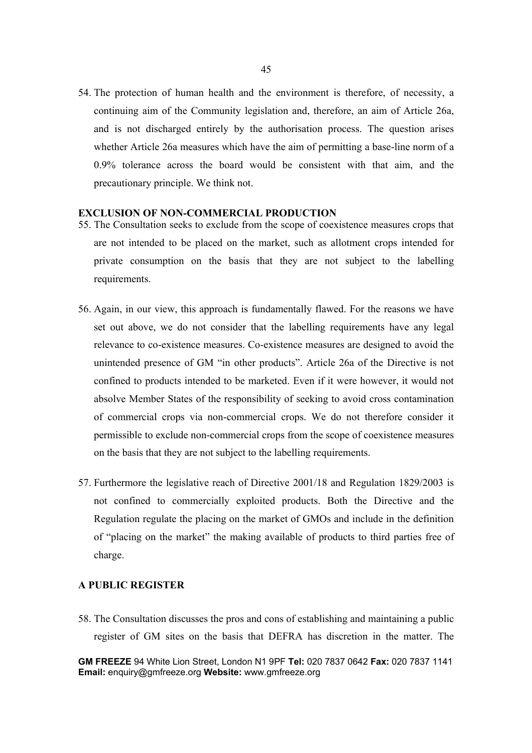54. The protection of human health and the environment is therefore, of necessity, a continuing aim of the Community legislation and, therefore, an aim of Article 26a, and is not discharged entirely by the authorisation process. The question arises whether Article 26a measures which have the aim of permitting a base-line norm of a 0.9% tolerance across the board would be consistent with that aim, and the precautionary principle. We think not.

#### **EXCLUSION OF NON-COMMERCIAL PRODUCTION**

- 55. The Consultation seeks to exclude from the scope of coexistence measures crops that are not intended to be placed on the market, such as allotment crops intended for private consumption on the basis that they are not subject to the labelling requirements.
- 56. Again, in our view, this approach is fundamentally flawed. For the reasons we have set out above, we do not consider that the labelling requirements have any legal relevance to co-existence measures. Co-existence measures are designed to avoid the unintended presence of GM "in other products". Article 26a of the Directive is not confined to products intended to be marketed. Even if it were however, it would not absolve Member States of the responsibility of seeking to avoid cross contamination of commercial crops via non-commercial crops. We do not therefore consider it permissible to exclude non-commercial crops from the scope of coexistence measures on the basis that they are not subject to the labelling requirements.
- 57. Furthermore the legislative reach of Directive 2001/18 and Regulation 1829/2003 is not confined to commercially exploited products. Both the Directive and the Regulation regulate the placing on the market of GMOs and include in the definition of "placing on the market" the making available of products to third parties free of charge.

### **A PUBLIC REGISTER**

58. The Consultation discusses the pros and cons of establishing and maintaining a public register of GM sites on the basis that DEFRA has discretion in the matter. The

**GM FREEZE** 94 White Lion Street, London N1 9PF **Tel:** 020 7837 0642 **Fax:** 020 7837 1141 **Email:** enquiry@gmfreeze.org **Website:** www.gmfreeze.org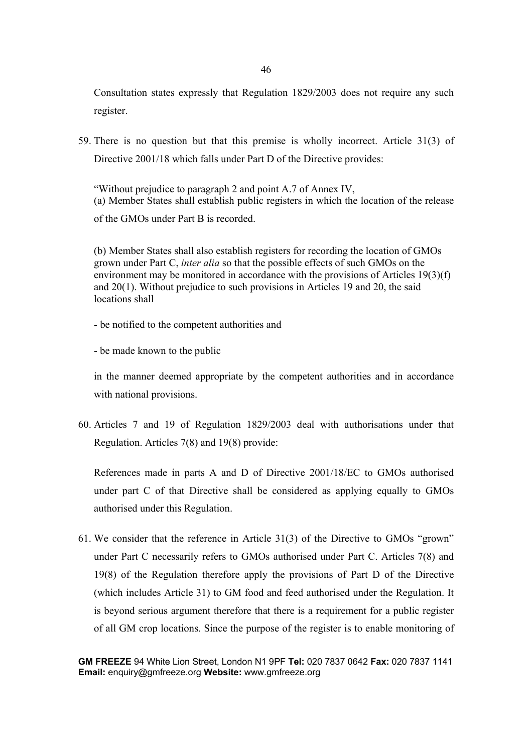Consultation states expressly that Regulation 1829/2003 does not require any such register.

59. There is no question but that this premise is wholly incorrect. Article 31(3) of Directive 2001/18 which falls under Part D of the Directive provides:

"Without prejudice to paragraph 2 and point A.7 of Annex IV, (a) Member States shall establish public registers in which the location of the release of the GMOs under Part B is recorded.

(b) Member States shall also establish registers for recording the location of GMOs grown under Part C, *inter alia* so that the possible effects of such GMOs on the environment may be monitored in accordance with the provisions of Articles 19(3)(f) and 20(1). Without prejudice to such provisions in Articles 19 and 20, the said locations shall

- be notified to the competent authorities and

- be made known to the public

in the manner deemed appropriate by the competent authorities and in accordance with national provisions.

60. Articles 7 and 19 of Regulation 1829/2003 deal with authorisations under that Regulation. Articles 7(8) and 19(8) provide:

References made in parts A and D of Directive 2001/18/EC to GMOs authorised under part C of that Directive shall be considered as applying equally to GMOs authorised under this Regulation.

61. We consider that the reference in Article 31(3) of the Directive to GMOs "grown" under Part C necessarily refers to GMOs authorised under Part C. Articles 7(8) and 19(8) of the Regulation therefore apply the provisions of Part D of the Directive (which includes Article 31) to GM food and feed authorised under the Regulation. It is beyond serious argument therefore that there is a requirement for a public register of all GM crop locations. Since the purpose of the register is to enable monitoring of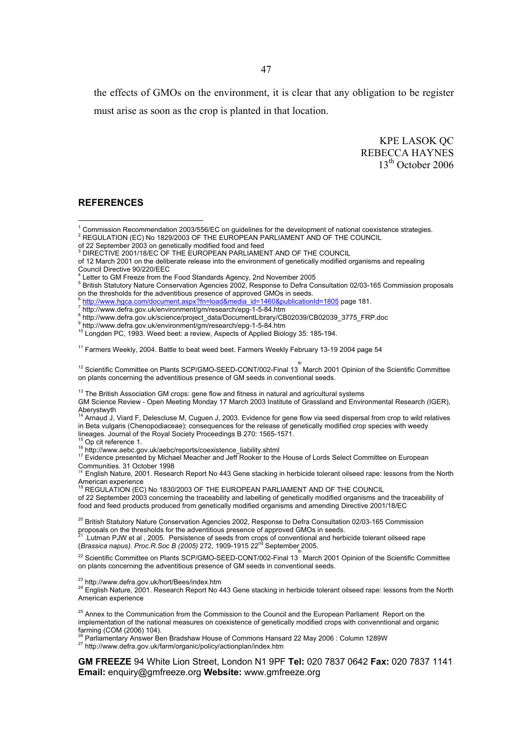the effects of GMOs on the environment, it is clear that any obligation to be register must arise as soon as the crop is planted in that location.

> KPE LASOK QC REBECCA HAYNES 13<sup>th</sup> October 2006

### **REFERENCES**

Council Directive 90/220/EEC

9 http://www.defra.gov.uk/environment/gm/research/epg-1-5-84.htm

<sup>11</sup> Farmers Weekly, 2004. Battle to beat weed beet. Farmers Weekly February 13-19 2004 page 54

<sup>12</sup> Scientific Committee on Plants SCP/GMO-SEED-CONT/002-Final 13 March 2001 Opinion of the Scientific Committee on plants concerning the adventitious presence of GM seeds in conventional seeds.

 $13$  The British Association GM crops: gene flow and fitness in natural and agricultural systems

GM Science Review - Open Meeting Monday 17 March 2003 Institute of Grassland and Environmental Research (IGER),

Aberystwyth<br><sup>14</sup> Arnaud J, Viard F, Delescluse M, Cuguen J, 2003. Evidence for gene flow via seed dispersal from crop to wild relatives in Beta vulgaris (Chenopodiaceae): consequences for the release of genetically modified crop species with weedy lineages. Journal of the Royal Society Proceedings B 270: 1565-1571.

<sup>15</sup> Op cit reference 1.<br><sup>16</sup> http://www.aebc.gov.uk/aebc/reports/coexistence\_liability.shtml<br><sup>17</sup> Evidence presented by Michael Meacher and Jeff Rooker to the House of Lords Select Committee on European

Communities. 31 October 1998<br><sup>≀s</sup> English Nature, 2001. Research Report No 443 Gene stacking in herbicide tolerant oilseed rape: lessons from the North

American experience<br><sup>19</sup> REGULATION (EC) No 1830/2003 OF THE EUROPEAN PARLIAMENT AND OF THE COUNCIL

of 22 September 2003 concerning the traceability and labelling of genetically modified organisms and the traceability of food and feed products produced from genetically modified organisms and amending Directive 2001/18/EC

<sup>20</sup> British Statutory Nature Conservation Agencies 2002, Response to Defra Consultation 02/03-165 Commission proposals on the thresholds for the adventitious presence of approved GMOs in seeds.

 $^{21}$  .Lutman PJW et al , 2005. Persistence of seeds from crops of conventional and herbicide tolerant oilseed rape (*Brassica napus). Proc.R.Soc B (2005)* 272, 1909-1915 22nd September 2005.

<sup>22</sup> Scientific Committee on Plants SCP/GMO-SEED-CONT/002-Final 13 March 2001 Opinion of the Scientific Committee on plants concerning the adventitious presence of GM seeds in conventional seeds.

<sup>23</sup> http://www.defra.gov.uk/hort/Bees/index.htm<br><sup>24</sup> English Nature, 2001. Research Report No 443 Gene stacking in herbicide tolerant oilseed rape: lessons from the North American experience

<sup>25</sup> Annex to the Communication from the Commission to the Council and the European Parliament Report on the implementation of the national measures on coexistence of genetically modified crops with convenntional and organic farming (COM (2006) 104).

<sup>26</sup> Parliamentary Answer Ben Bradshaw House of Commons Hansard 22 May 2006 : Column 1289W<br><sup>27</sup> http://www.defra.gov.uk/farm/organic/policy/actionplan/index.htm

 1 Commission Recommendation 2003/556/EC on guidelines for the development of national coexistence strategies.

 $^2$  REGULATION (EC) No 1829/2003 OF THE EUROPEAN PARLIAMENT AND OF THE COUNCIL

of 22 September 2003 on genetically modified food and feed<br><sup>3</sup> DIRECTIVE 2001/18/EC OF THE EUROPEAN PARLIAMENT AND OF THE COUNCIL

of 12 March 2001 on the deliberate release into the environment of genetically modified organisms and repealing

<sup>4</sup> Letter to GM Freeze from the Food Standards Agency, 2nd November 2005 5 British Statutory Nature Conservation Agencies 2002, Response to Defra Consultation 02/03-165 Commission proposals on the thresholds for the adventitious presence of approved GMOs in seeds.

http://www.hgca.com/document.aspx?fn=load&media\_id=1460&publicationId=1805 page 181.

http://www.defra.gov.uk/environment/gm/research/epg-1-5-84.htm

<sup>8</sup> http://www.defra.gov.uk/science/project\_data/DocumentLibrary/CB02039/CB02039\_3775\_FRP.doc

<sup>&</sup>lt;sup>10</sup> Longden PC, 1993. Weed beet: a review, Aspects of Applied Biology 35: 185-194.